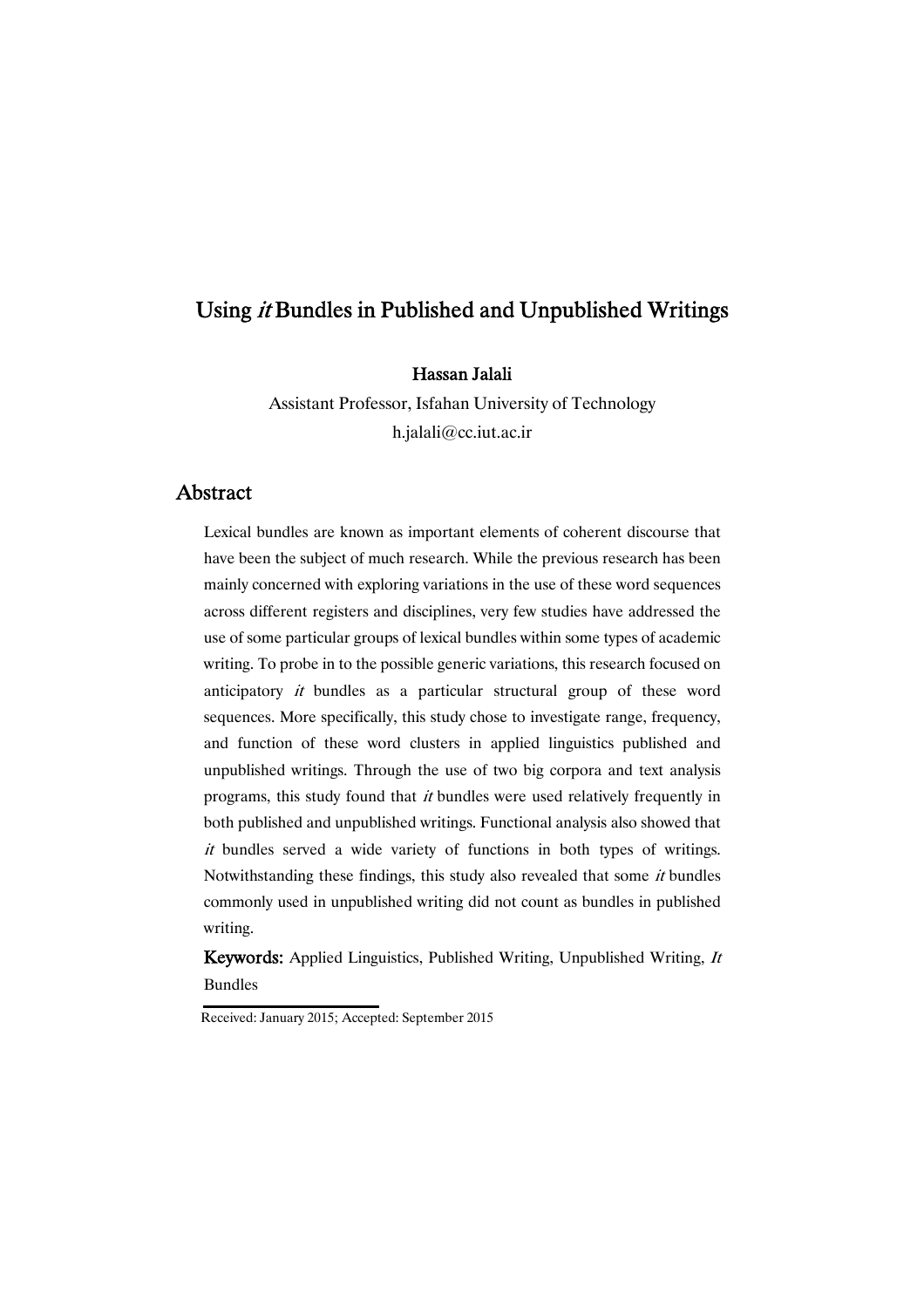# Using *it* Bundles in Published and Unpublished Writings

## Hassan Jalali

Assistant Professor, Isfahan University of Technology h.jalali@cc.iut.ac.ir

## Abstract

Lexical bundles are known as important elements of coherent discourse that have been the subject of much research. While the previous research has been mainly concerned with exploring variations in the use of these word sequences across different registers and disciplines, very few studies have addressed the use of some particular groups of lexical bundles within some types of academic writing. To probe in to the possible generic variations, this research focused on anticipatory it bundles as a particular structural group of these word sequences. More specifically, this study chose to investigate range, frequency, and function of these word clusters in applied linguistics published and unpublished writings. Through the use of two big corpora and text analysis programs, this study found that it bundles were used relatively frequently in both published and unpublished writings. Functional analysis also showed that it bundles served a wide variety of functions in both types of writings. Notwithstanding these findings, this study also revealed that some *it* bundles commonly used in unpublished writing did not count as bundles in published writing.

Keywords: Applied Linguistics, Published Writing, Unpublished Writing, It Bundles

Received: January 2015; Accepted: September 2015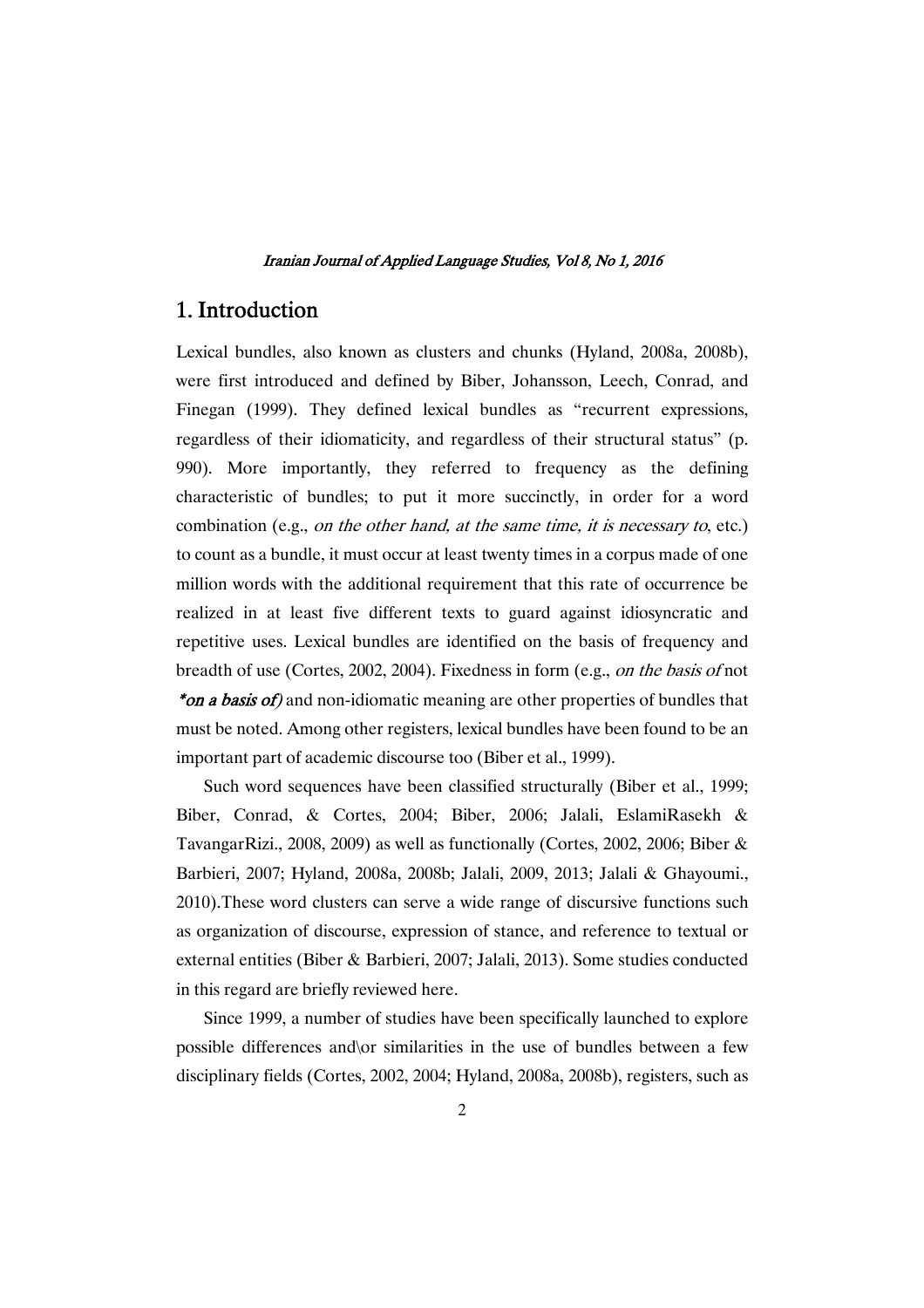## 1.Introduction

Lexical bundles, also known as clusters and chunks (Hyland, 2008a, 2008b), were first introduced and defined by Biber, Johansson, Leech, Conrad, and Finegan (1999). They defined lexical bundles as "recurrent expressions, regardless of their idiomaticity, and regardless of their structural status" (p. 990). More importantly, they referred to frequency as the defining characteristic of bundles; to put it more succinctly, in order for a word combination (e.g., on the other hand, at the same time, it is necessary to, etc.) to count as a bundle, it must occur at least twenty times in a corpus made of one million words with the additional requirement that this rate of occurrence be realized in at least five different texts to guard against idiosyncratic and repetitive uses. Lexical bundles are identified on the basis of frequency and breadth of use (Cortes, 2002, 2004). Fixedness in form (e.g., on the basis of not \*on a basis of) and non-idiomatic meaning are other properties of bundles that must be noted. Among other registers, lexical bundles have been found to be an important part of academic discourse too (Biber et al., 1999).

Such word sequences have been classified structurally (Biber et al., 1999; Biber, Conrad, & Cortes, 2004; Biber, 2006; Jalali, EslamiRasekh & TavangarRizi., 2008, 2009) as well as functionally (Cortes, 2002, 2006; Biber & Barbieri, 2007; Hyland, 2008a, 2008b; Jalali, 2009, 2013; Jalali & Ghayoumi., 2010).These word clusters can serve a wide range of discursive functions such as organization of discourse, expression of stance, and reference to textual or external entities (Biber & Barbieri, 2007; Jalali, 2013). Some studies conducted in this regard are briefly reviewed here.

Since 1999, a number of studies have been specifically launched to explore possible differences and\or similarities in the use of bundles between a few disciplinary fields (Cortes, 2002, 2004; Hyland, 2008a, 2008b), registers, such as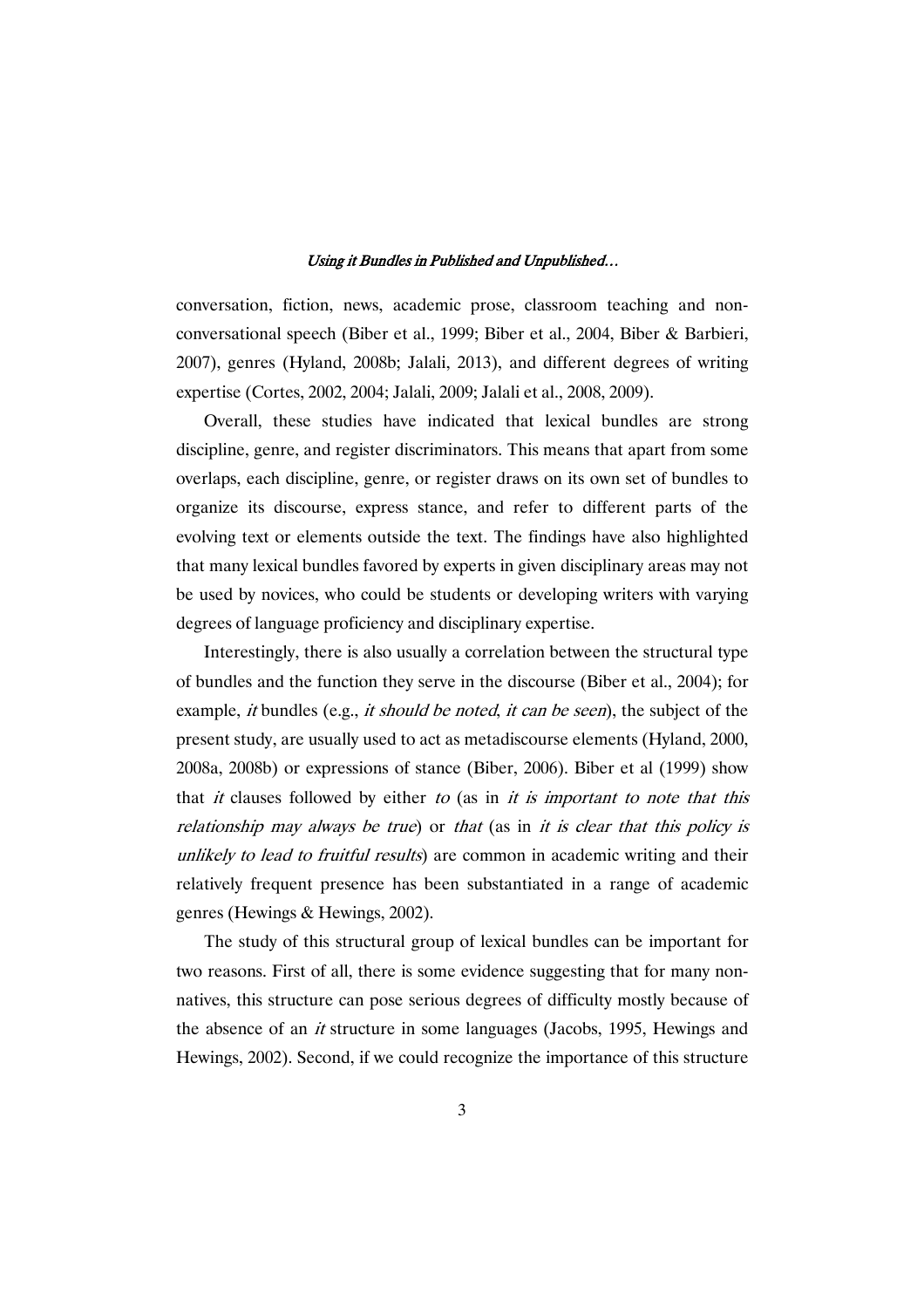conversation, fiction, news, academic prose, classroom teaching and nonconversational speech (Biber et al., 1999; Biber et al., 2004, Biber & Barbieri, 2007), genres (Hyland, 2008b; Jalali, 2013), and different degrees of writing expertise (Cortes, 2002, 2004; Jalali, 2009; Jalali et al., 2008, 2009).

Overall, these studies have indicated that lexical bundles are strong discipline, genre, and register discriminators. This means that apart from some overlaps, each discipline, genre, or register draws on its own set of bundles to organize its discourse, express stance, and refer to different parts of the evolving text or elements outside the text. The findings have also highlighted that many lexical bundles favored by experts in given disciplinary areas may not be used by novices, who could be students or developing writers with varying degrees of language proficiency and disciplinary expertise.

Interestingly, there is also usually a correlation between the structural type of bundles and the function they serve in the discourse (Biber et al., 2004); for example, it bundles (e.g., it should be noted, it can be seen), the subject of the present study, are usually used to act as metadiscourse elements (Hyland, 2000, 2008a, 2008b) or expressions of stance (Biber, 2006). Biber et al (1999) show that *it* clauses followed by either to (as in *it is important to note that this* relationship may always be true) or that (as in it is clear that this policy is unlikely to lead to fruitful results) are common in academic writing and their relatively frequent presence has been substantiated in a range of academic genres (Hewings & Hewings, 2002).

The study of this structural group of lexical bundles can be important for two reasons. First of all, there is some evidence suggesting that for many nonnatives, this structure can pose serious degrees of difficulty mostly because of the absence of an it structure in some languages (Jacobs, 1995, Hewings and Hewings, 2002). Second, if we could recognize the importance of this structure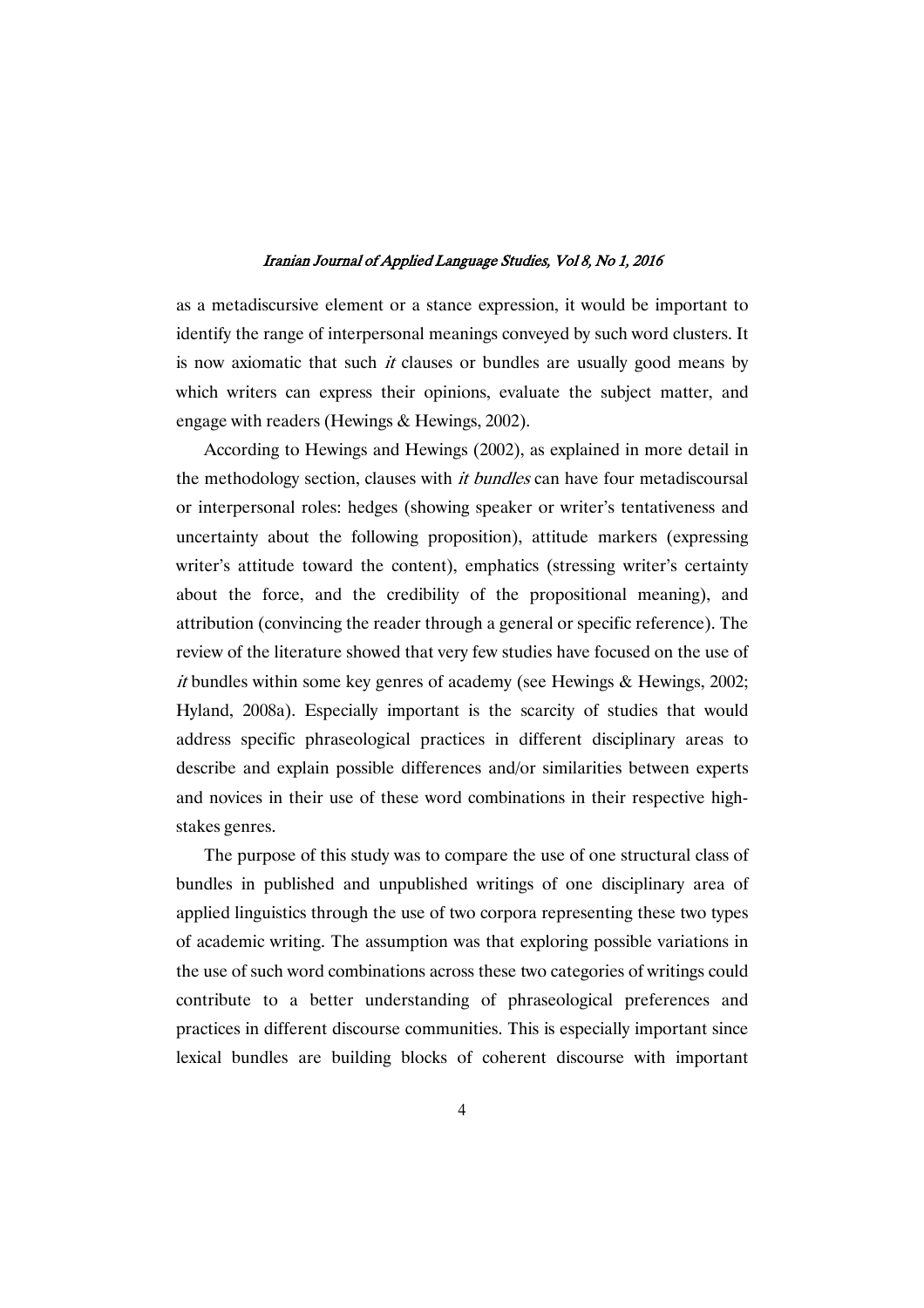as a metadiscursive element or a stance expression, it would be important to identify the range of interpersonal meanings conveyed by such word clusters. It is now axiomatic that such  $it$  clauses or bundles are usually good means by which writers can express their opinions, evaluate the subject matter, and engage with readers (Hewings & Hewings, 2002).

According to Hewings and Hewings (2002), as explained in more detail in the methodology section, clauses with *it bundles* can have four metadiscoursal or interpersonal roles: hedges (showing speaker or writer's tentativeness and uncertainty about the following proposition), attitude markers (expressing writer's attitude toward the content), emphatics (stressing writer's certainty about the force, and the credibility of the propositional meaning), and attribution (convincing the reader through a general or specific reference). The review of the literature showed that very few studies have focused on the use of it bundles within some key genres of academy (see Hewings & Hewings, 2002; Hyland, 2008a). Especially important is the scarcity of studies that would address specific phraseological practices in different disciplinary areas to describe and explain possible differences and/or similarities between experts and novices in their use of these word combinations in their respective highstakes genres.

The purpose of this study was to compare the use of one structural class of bundles in published and unpublished writings of one disciplinary area of applied linguistics through the use of two corpora representing these two types of academic writing. The assumption was that exploring possible variations in the use of such word combinations across these two categories of writings could contribute to a better understanding of phraseological preferences and practices in different discourse communities. This is especially important since lexical bundles are building blocks of coherent discourse with important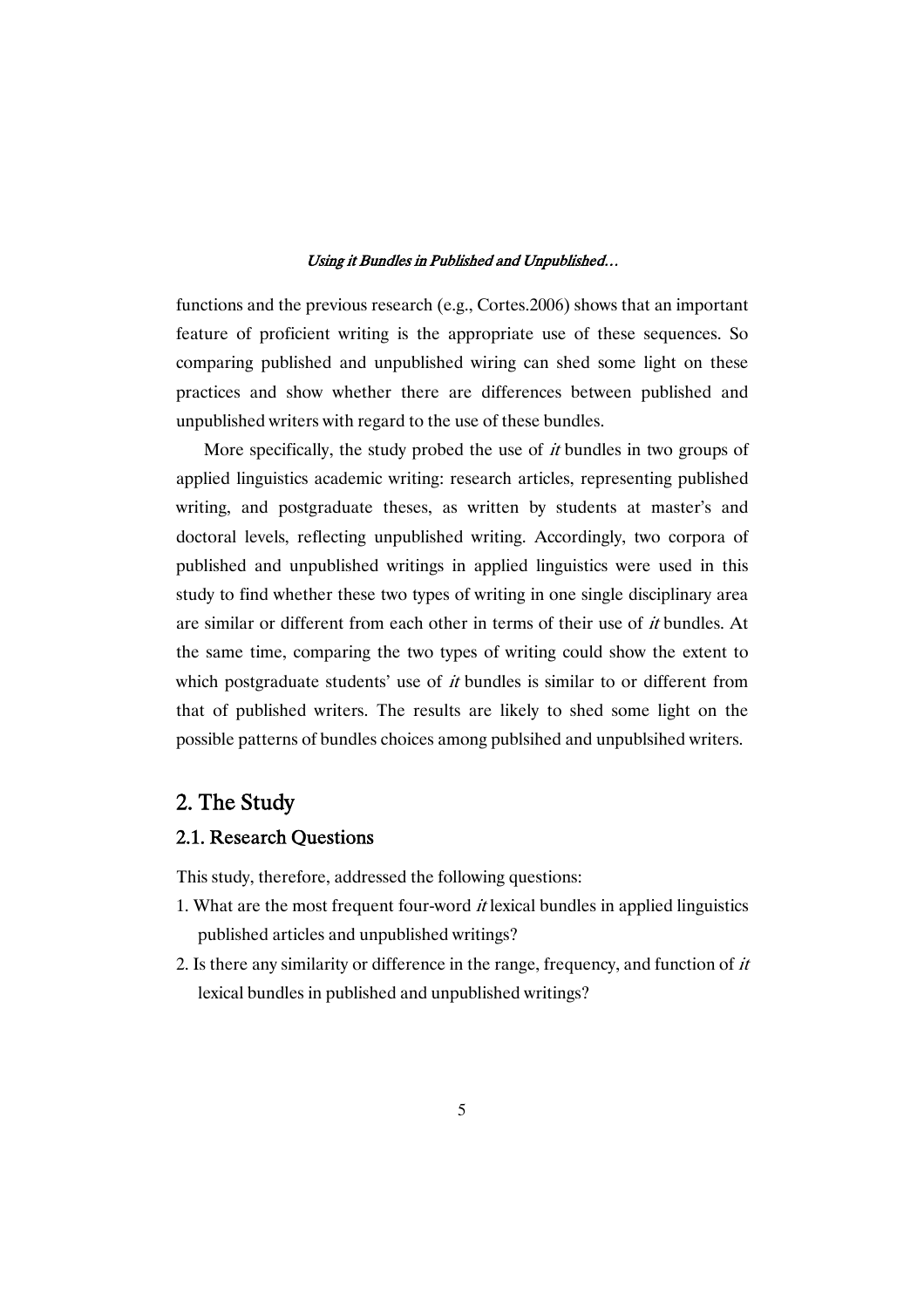functions and the previous research (e.g., Cortes.2006) shows that an important feature of proficient writing is the appropriate use of these sequences. So comparing published and unpublished wiring can shed some light on these practices and show whether there are differences between published and unpublished writers with regard to the use of these bundles.

More specifically, the study probed the use of *it* bundles in two groups of applied linguistics academic writing: research articles, representing published writing, and postgraduate theses, as written by students at master's and doctoral levels, reflecting unpublished writing. Accordingly, two corpora of published and unpublished writings in applied linguistics were used in this study to find whether these two types of writing in one single disciplinary area are similar or different from each other in terms of their use of it bundles. At the same time, comparing the two types of writing could show the extent to which postgraduate students' use of  $it$  bundles is similar to or different from that of published writers. The results are likely to shed some light on the possible patterns of bundles choices among publsihed and unpublsihed writers.

# 2. The Study

## 2.1. Research Ouestions

This study, therefore, addressed the following questions:

- 1. What are the most frequent four-word  $it$  lexical bundles in applied linguistics published articles and unpublished writings?
- 2. Is there any similarity or difference in the range, frequency, and function of  $it$ lexical bundles in published and unpublished writings?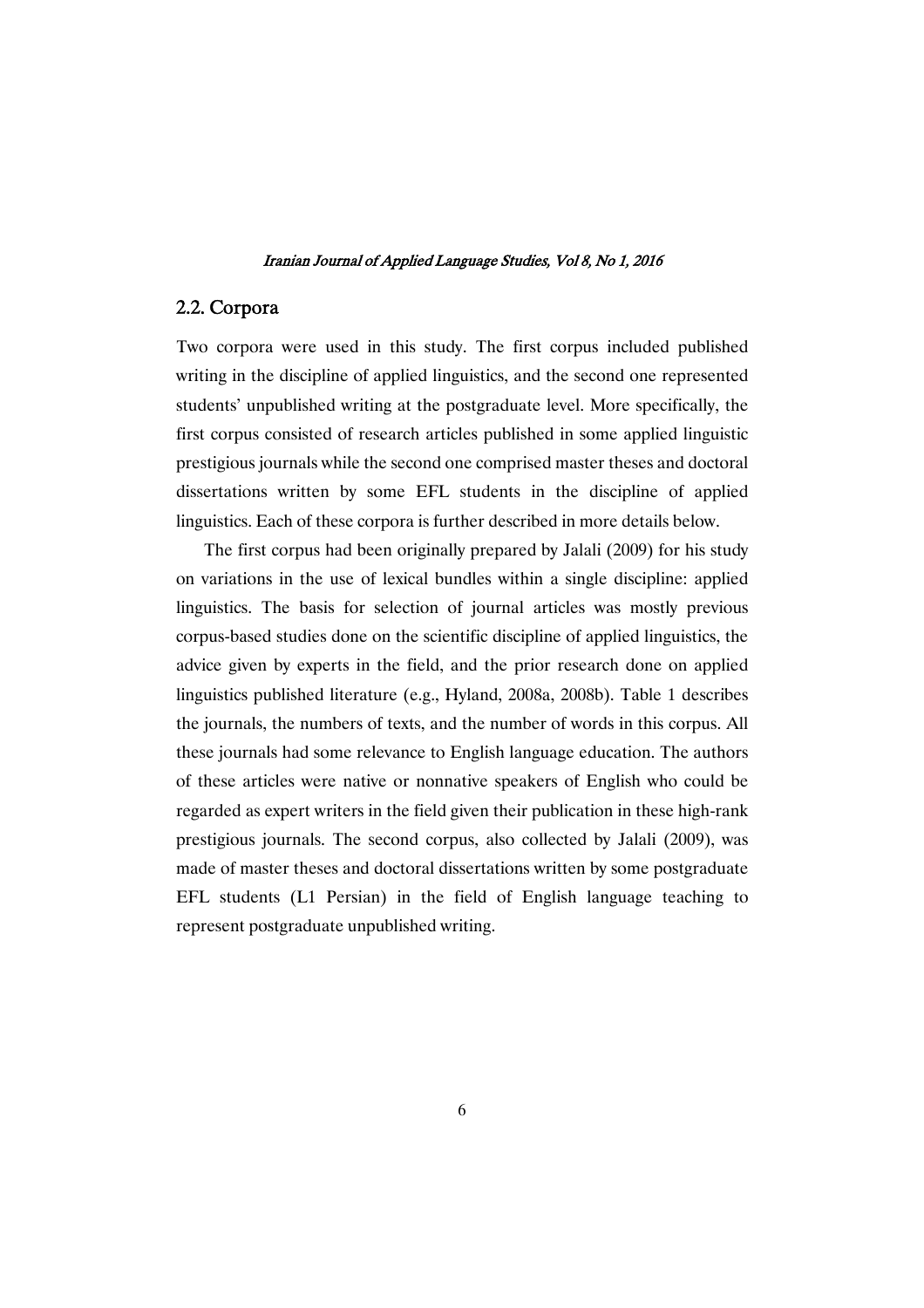## 2.2.Corpora

Two corpora were used in this study. The first corpus included published writing in the discipline of applied linguistics, and the second one represented students' unpublished writing at the postgraduate level. More specifically, the first corpus consisted of research articles published in some applied linguistic prestigious journals while the second one comprised master theses and doctoral dissertations written by some EFL students in the discipline of applied linguistics. Each of these corpora is further described in more details below.

The first corpus had been originally prepared by Jalali (2009) for his study on variations in the use of lexical bundles within a single discipline: applied linguistics. The basis for selection of journal articles was mostly previous corpus-based studies done on the scientific discipline of applied linguistics, the advice given by experts in the field, and the prior research done on applied linguistics published literature (e.g., Hyland, 2008a, 2008b). Table 1 describes the journals, the numbers of texts, and the number of words in this corpus. All these journals had some relevance to English language education. The authors of these articles were native or nonnative speakers of English who could be regarded as expert writers in the field given their publication in these high-rank prestigious journals. The second corpus, also collected by Jalali (2009), was made of master theses and doctoral dissertations written by some postgraduate EFL students (L1 Persian) in the field of English language teaching to represent postgraduate unpublished writing.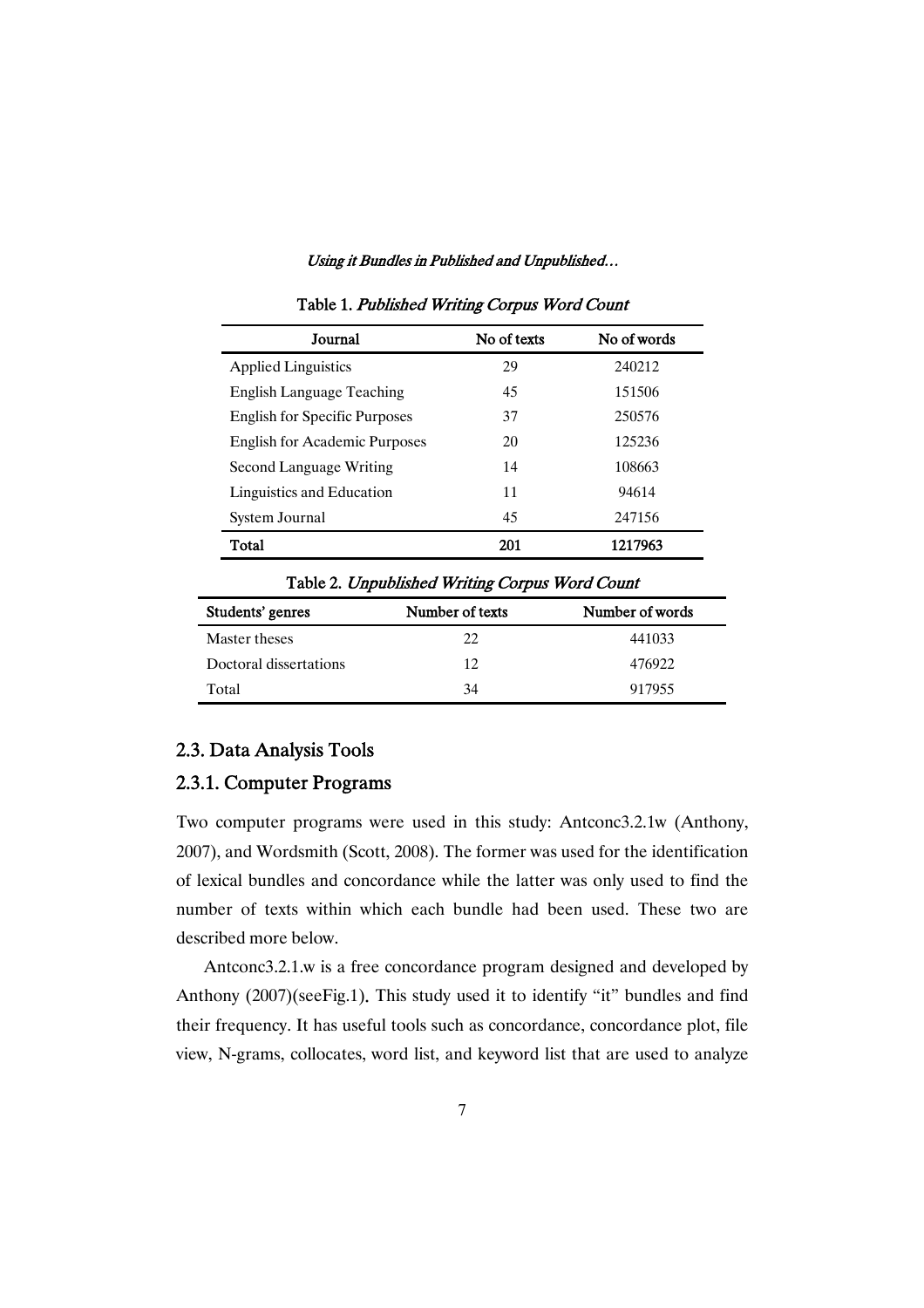| Journal                              | No of texts | No of words |
|--------------------------------------|-------------|-------------|
| <b>Applied Linguistics</b>           | 29          | 240212      |
| English Language Teaching            | 45          | 151506      |
| <b>English for Specific Purposes</b> | 37          | 250576      |
| <b>English for Academic Purposes</b> | 20          | 125236      |
| Second Language Writing              | 14          | 108663      |
| Linguistics and Education            | 11          | 94614       |
| System Journal                       | 45          | 247156      |
| Total                                | 201         | 1217963     |

Table 1. Published Writing Corpus Word Count

Table 2. Unpublished Writing Corpus Word Count

| Students' genres       | Number of texts | Number of words |
|------------------------|-----------------|-----------------|
| Master theses          | 22              | 441033          |
| Doctoral dissertations | 12.             | 476922          |
| Total                  | 34              | 917955          |

## 2.3. Data Analysis Tools

### 2.3.1. Computer Programs

Two computer programs were used in this study: Antconc3.2.1w (Anthony, 2007), and Wordsmith (Scott, 2008). The former was used for the identification of lexical bundles and concordance while the latter was only used to find the number of texts within which each bundle had been used. These two are described more below.

Antconc3.2.1.w is a free concordance program designed and developed by Anthony (2007)(seeFig.1). This study used it to identify "it" bundles and find their frequency. It has useful tools such as concordance, concordance plot, file view, N-grams, collocates, word list, and keyword list that are used to analyze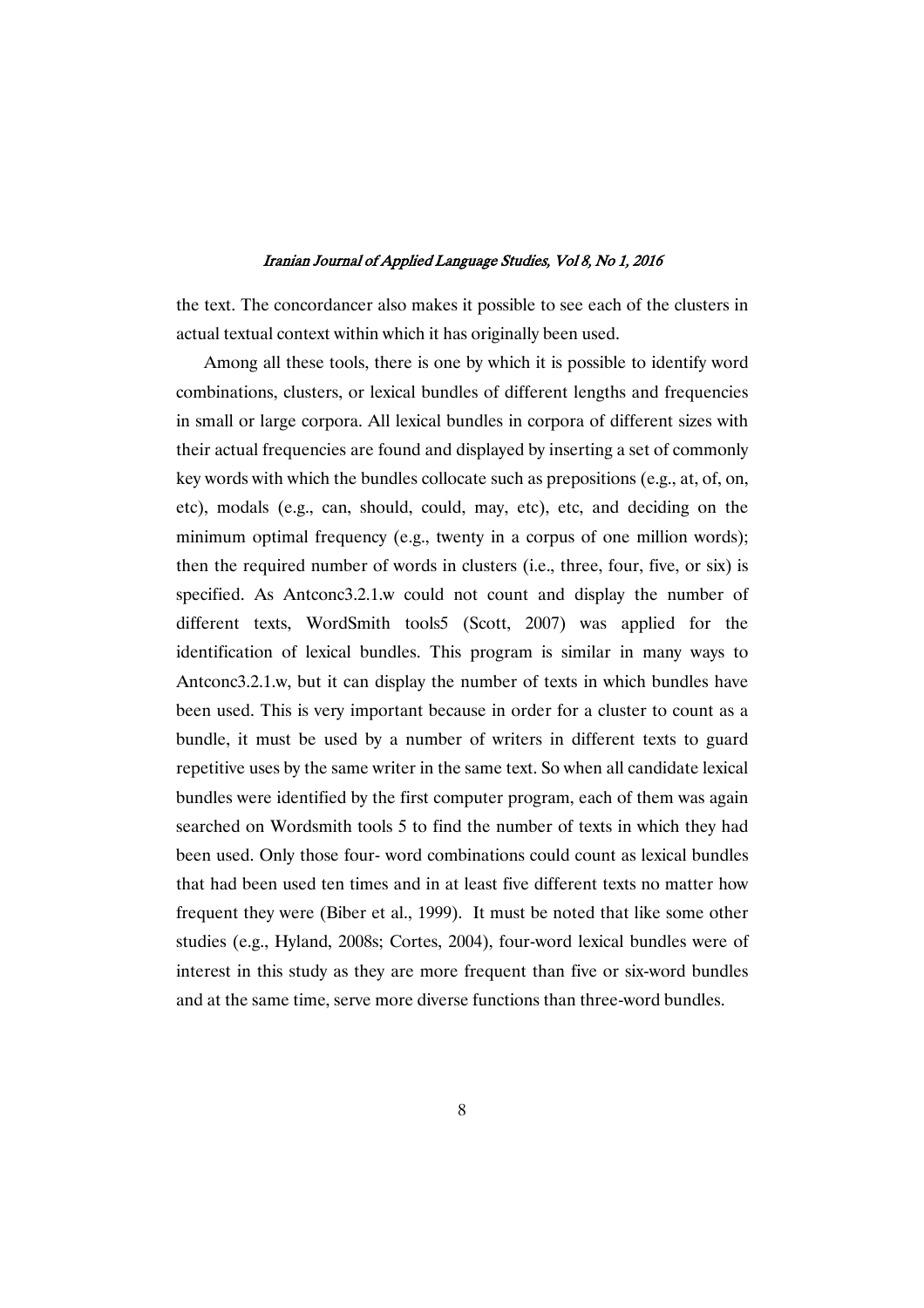the text. The concordancer also makes it possible to see each of the clusters in actual textual context within which it has originally been used.

Among all these tools, there is one by which it is possible to identify word combinations, clusters, or lexical bundles of different lengths and frequencies in small or large corpora. All lexical bundles in corpora of different sizes with their actual frequencies are found and displayed by inserting a set of commonly key words with which the bundles collocate such as prepositions (e.g., at, of, on, etc), modals (e.g., can, should, could, may, etc), etc, and deciding on the minimum optimal frequency (e.g., twenty in a corpus of one million words); then the required number of words in clusters (i.e., three, four, five, or six) is specified. As Antconc3.2.1.w could not count and display the number of different texts, WordSmith tools5 (Scott, 2007) was applied for the identification of lexical bundles. This program is similar in many ways to Antconc3.2.1.w, but it can display the number of texts in which bundles have been used. This is very important because in order for a cluster to count as a bundle, it must be used by a number of writers in different texts to guard repetitive uses by the same writer in the same text. So when all candidate lexical bundles were identified by the first computer program, each of them was again searched on Wordsmith tools 5 to find the number of texts in which they had been used. Only those four- word combinations could count as lexical bundles that had been used ten times and in at least five different texts no matter how frequent they were (Biber et al., 1999). It must be noted that like some other studies (e.g., Hyland, 2008s; Cortes, 2004), four-word lexical bundles were of interest in this study as they are more frequent than five or six-word bundles and at the same time, serve more diverse functions than three-word bundles.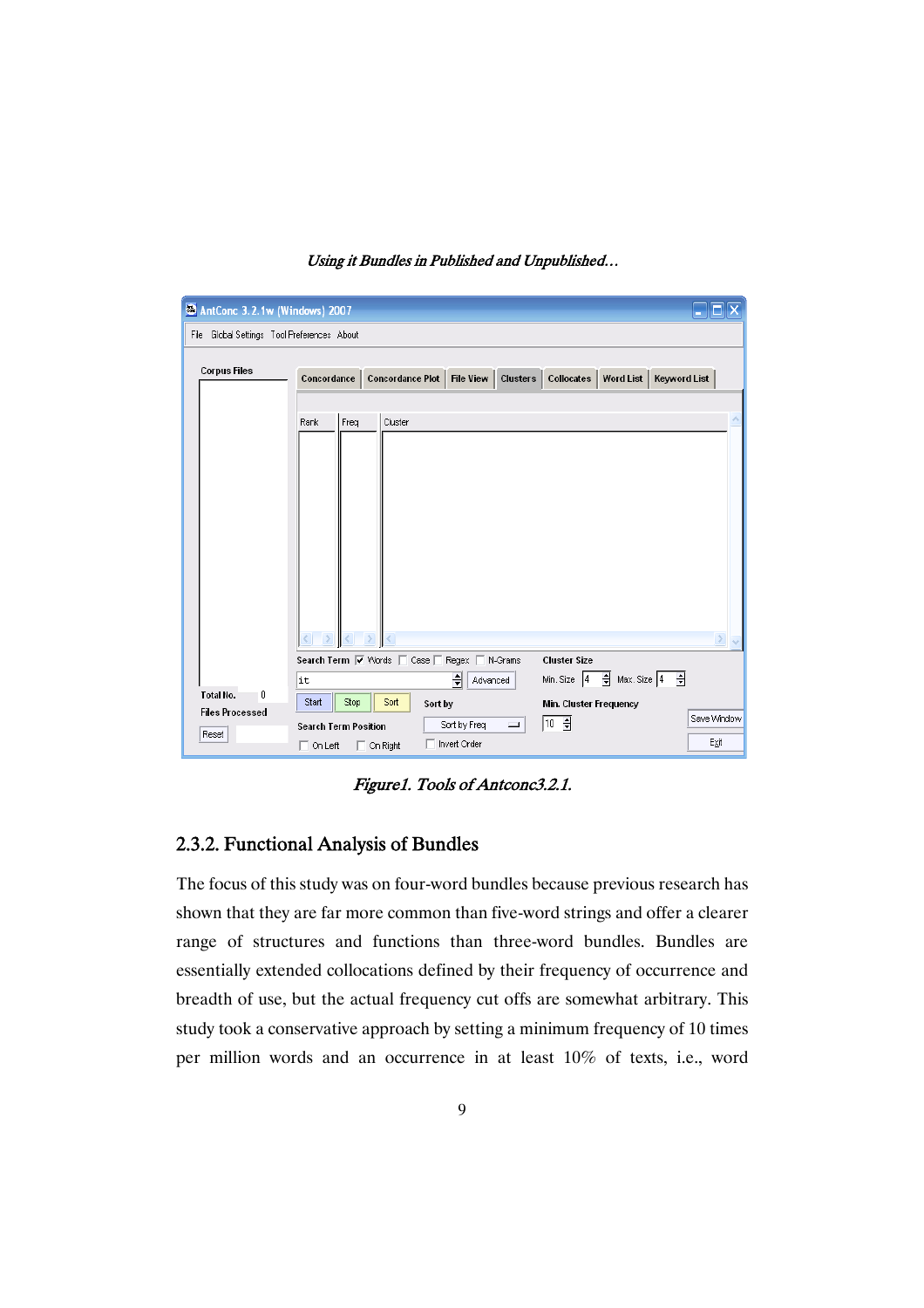| AntConc 3.2.1w (Windows) 2007               |                             |                  |                                              |                                                  |                     |
|---------------------------------------------|-----------------------------|------------------|----------------------------------------------|--------------------------------------------------|---------------------|
| File Global Settings Tool Preferences About |                             |                  |                                              |                                                  |                     |
| <b>Corpus Files</b>                         | Concordance                 | Concordance Plot |                                              | File View   Clusters   Collocates  <br>Word List | <b>Keyword List</b> |
|                                             | Freq<br>Rank                | Cluster          |                                              |                                                  |                     |
|                                             |                             |                  |                                              |                                                  |                     |
|                                             |                             |                  |                                              |                                                  |                     |
|                                             |                             |                  |                                              |                                                  |                     |
|                                             |                             |                  |                                              |                                                  |                     |
|                                             |                             |                  |                                              |                                                  |                     |
|                                             |                             |                  | Search Term V Words   Case   Regex   N-Grams | <b>Cluster Size</b>                              |                     |
|                                             | Ιt                          |                  | 싂<br>Advanced                                | $\frac{1}{2}$ Max. Size 4<br>Min. Size 4         | ₽                   |
| Total No.<br>0<br><b>Files Processed</b>    | Start<br>Stop               | Sort             | Sort by                                      | Min. Cluster Frequency                           |                     |
| Reset                                       | <b>Search Term Position</b> |                  | Sort by Freq<br>L                            | $\boxed{10 \frac{1}{2}}$                         | Save Window         |
|                                             | $\Box$ On Left              | $\Box$ On Right  | Invert Order                                 |                                                  | Exit                |

Figure1. Tools of Antconc3.2.1.

# 2.3.2. Functional Analysis of Bundles

The focus of this study was on four-word bundles because previous research has shown that they are far more common than five-word strings and offer a clearer range of structures and functions than three-word bundles. Bundles are essentially extended collocations defined by their frequency of occurrence and breadth of use, but the actual frequency cut offs are somewhat arbitrary. This study took a conservative approach by setting a minimum frequency of 10 times per million words and an occurrence in at least 10% of texts, i.e., word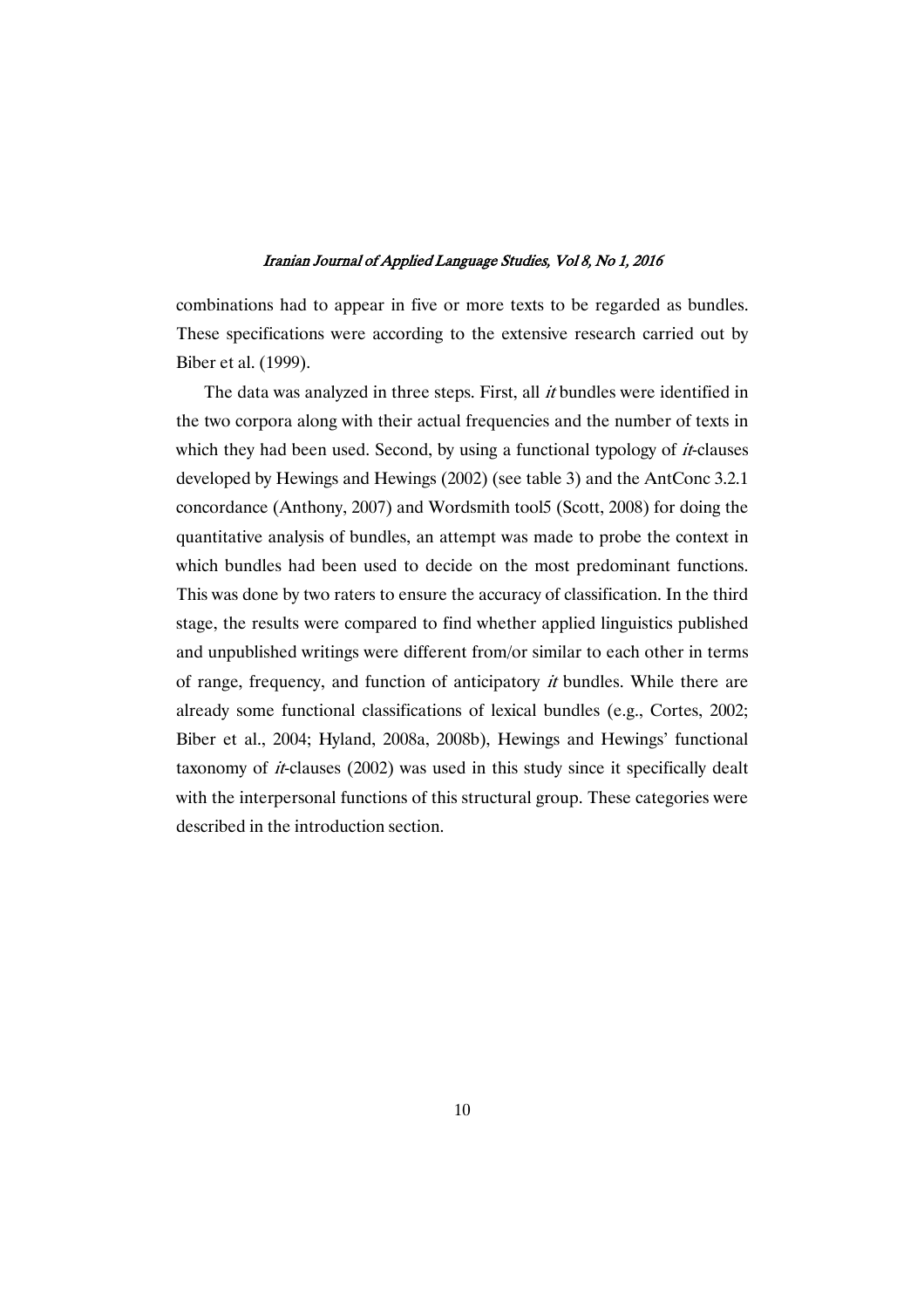combinations had to appear in five or more texts to be regarded as bundles. These specifications were according to the extensive research carried out by Biber et al. (1999).

The data was analyzed in three steps. First, all *it* bundles were identified in the two corpora along with their actual frequencies and the number of texts in which they had been used. Second, by using a functional typology of  $it$ -clauses developed by Hewings and Hewings (2002) (see table 3) and the AntConc 3.2.1 concordance (Anthony, 2007) and Wordsmith tool5 (Scott, 2008) for doing the quantitative analysis of bundles, an attempt was made to probe the context in which bundles had been used to decide on the most predominant functions. This was done by two raters to ensure the accuracy of classification. In the third stage, the results were compared to find whether applied linguistics published and unpublished writings were different from/or similar to each other in terms of range, frequency, and function of anticipatory it bundles. While there are already some functional classifications of lexical bundles (e.g., Cortes, 2002; Biber et al., 2004; Hyland, 2008a, 2008b), Hewings and Hewings' functional taxonomy of *it*-clauses (2002) was used in this study since it specifically dealt with the interpersonal functions of this structural group. These categories were described in the introduction section.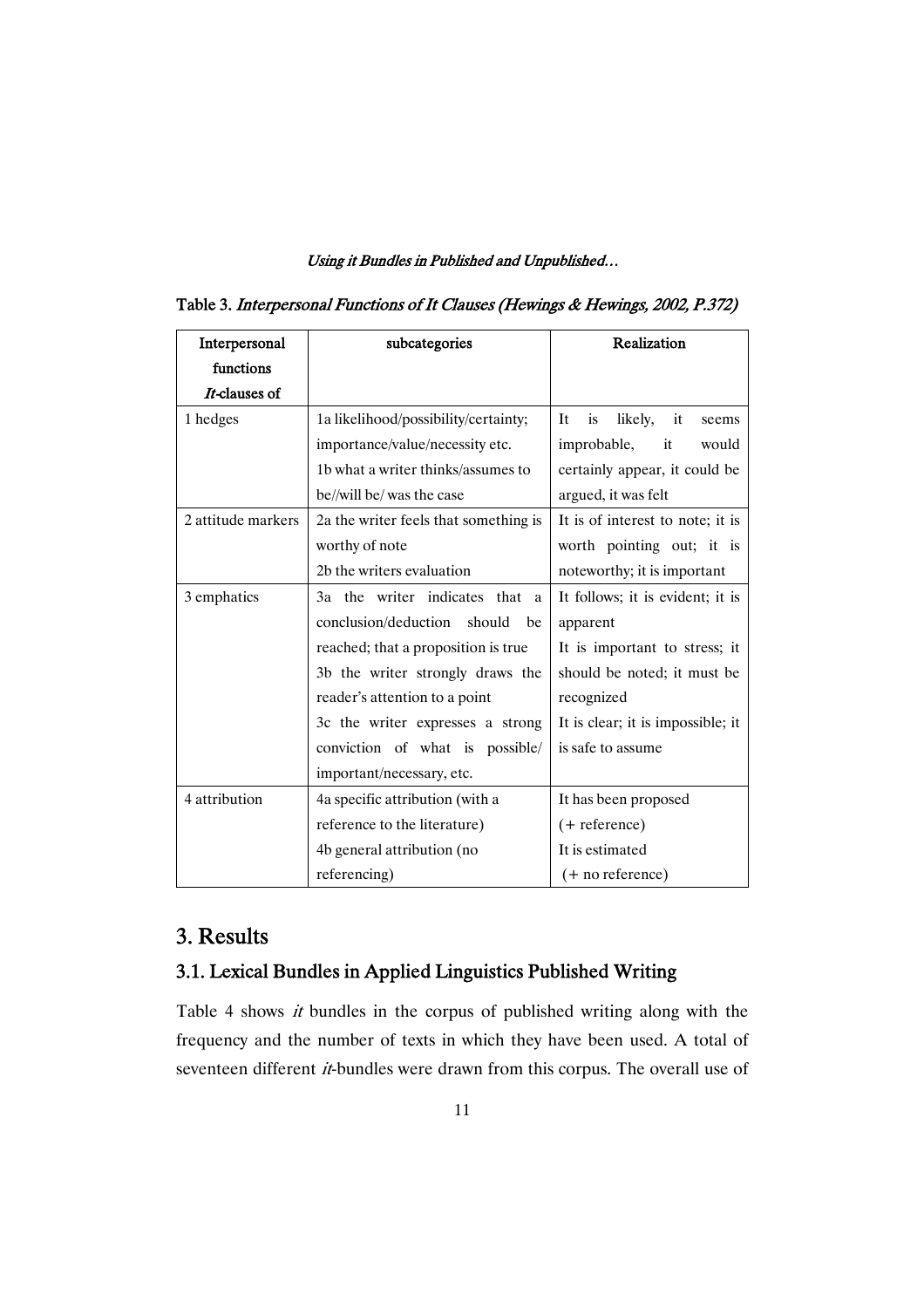| Interpersonal      | subcategories                         | Realization                               |  |
|--------------------|---------------------------------------|-------------------------------------------|--|
| functions          |                                       |                                           |  |
| It-clauses of      |                                       |                                           |  |
| 1 hedges           | 1a likelihood/possibility/certainty;  | likely,<br>it<br><b>It</b><br>is<br>seems |  |
|                    | importance/value/necessity etc.       | improbable,<br>it<br>would                |  |
|                    | 1b what a writer thinks/assumes to    | certainly appear, it could be             |  |
|                    | be//will be/ was the case             | argued, it was felt                       |  |
| 2 attitude markers | 2a the writer feels that something is | It is of interest to note; it is          |  |
|                    | worthy of note                        | worth pointing out; it is                 |  |
|                    | 2b the writers evaluation             | noteworthy; it is important               |  |
| 3 emphatics        | 3a the writer indicates that a        | It follows; it is evident; it is          |  |
|                    | conclusion/deduction<br>should<br>be  | apparent                                  |  |
|                    | reached; that a proposition is true   | It is important to stress; it             |  |
|                    | 3b the writer strongly draws the      | should be noted; it must be               |  |
|                    | reader's attention to a point         | recognized                                |  |
|                    | 3c the writer expresses a strong      | It is clear; it is impossible; it         |  |
|                    | conviction of what is possible/       | is safe to assume                         |  |
|                    | important/necessary, etc.             |                                           |  |
| 4 attribution      | 4a specific attribution (with a       | It has been proposed                      |  |
|                    | reference to the literature)          | $(+$ reference)                           |  |
|                    | 4b general attribution (no            | It is estimated                           |  |
|                    | referencing)                          | (+ no reference)                          |  |

Table 3. Interpersonal Functions of It Clauses (Hewings & Hewings, 2002, P.372)

# 3.Results

# 3.1. Lexical Bundles in Applied Linguistics Published Writing

Table 4 shows it bundles in the corpus of published writing along with the frequency and the number of texts in which they have been used. A total of seventeen different *it*-bundles were drawn from this corpus. The overall use of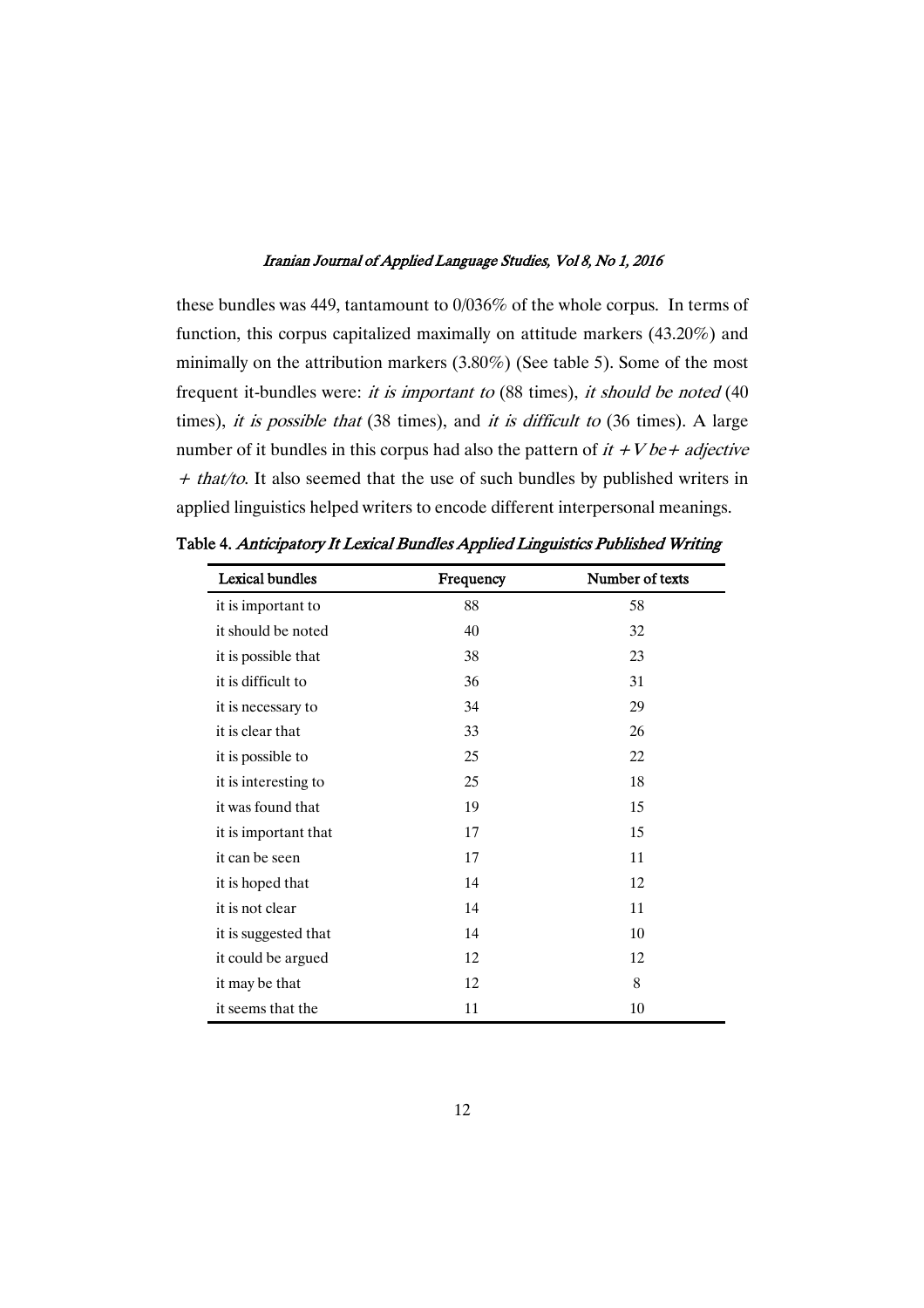these bundles was 449, tantamount to 0/036% of the whole corpus. In terms of function, this corpus capitalized maximally on attitude markers (43.20%) and minimally on the attribution markers (3.80%) (See table 5). Some of the most frequent it-bundles were: it is important to (88 times), it should be noted (40 times), it is possible that  $(38 \text{ times})$ , and it is difficult to  $(36 \text{ times})$ . A large number of it bundles in this corpus had also the pattern of  $it +V be + adjective$  $+$  that/to. It also seemed that the use of such bundles by published writers in applied linguistics helped writers to encode different interpersonal meanings.

| <b>Lexical bundles</b> | Frequency | Number of texts |
|------------------------|-----------|-----------------|
| it is important to     | 88        | 58              |
| it should be noted     | 40        | 32              |
| it is possible that    | 38        | 23              |
| it is difficult to     | 36        | 31              |
| it is necessary to     | 34        | 29              |
| it is clear that       | 33        | 26              |
| it is possible to      | 25        | 22              |
| it is interesting to   | 25        | 18              |
| it was found that      | 19        | 15              |
| it is important that   | 17        | 15              |
| it can be seen         | 17        | 11              |
| it is hoped that       | 14        | 12              |
| it is not clear        | 14        | 11              |
| it is suggested that   | 14        | 10              |
| it could be argued     | 12        | 12              |
| it may be that         | 12        | 8               |
| it seems that the      | 11        | 10              |

Table 4. Anticipatory It Lexical Bundles Applied Linguistics Published Writing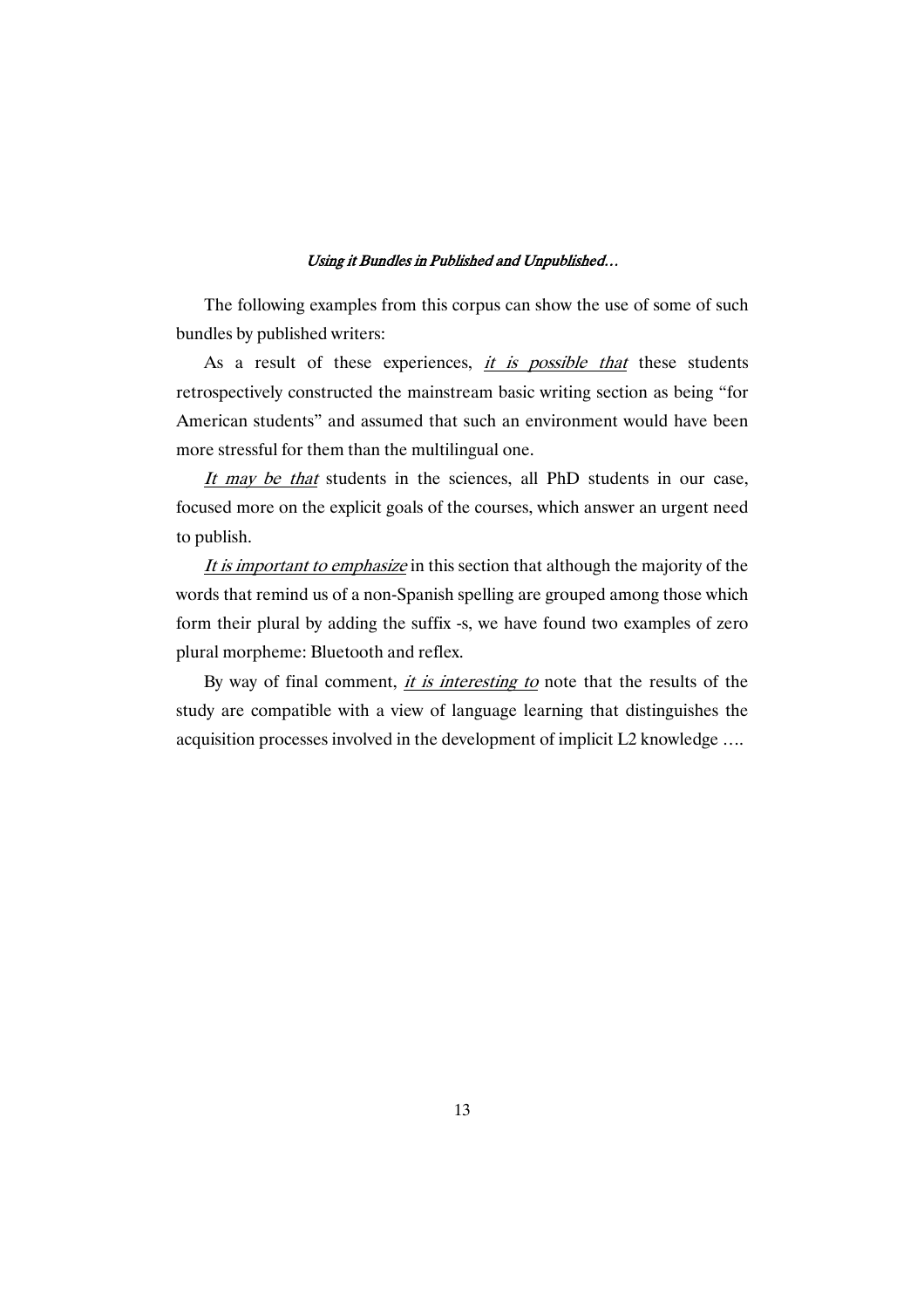The following examples from this corpus can show the use of some of such bundles by published writers:

As a result of these experiences, *it is possible that* these students retrospectively constructed the mainstream basic writing section as being "for American students" and assumed that such an environment would have been more stressful for them than the multilingual one.

It may be that students in the sciences, all PhD students in our case, focused more on the explicit goals of the courses, which answer an urgent need to publish.

It is important to emphasize in this section that although the majority of the words that remind us of a non-Spanish spelling are grouped among those which form their plural by adding the suffix -s, we have found two examples of zero plural morpheme: Bluetooth and reflex.

By way of final comment, it is interesting to note that the results of the study are compatible with a view of language learning that distinguishes the acquisition processes involved in the development of implicit L2 knowledge ….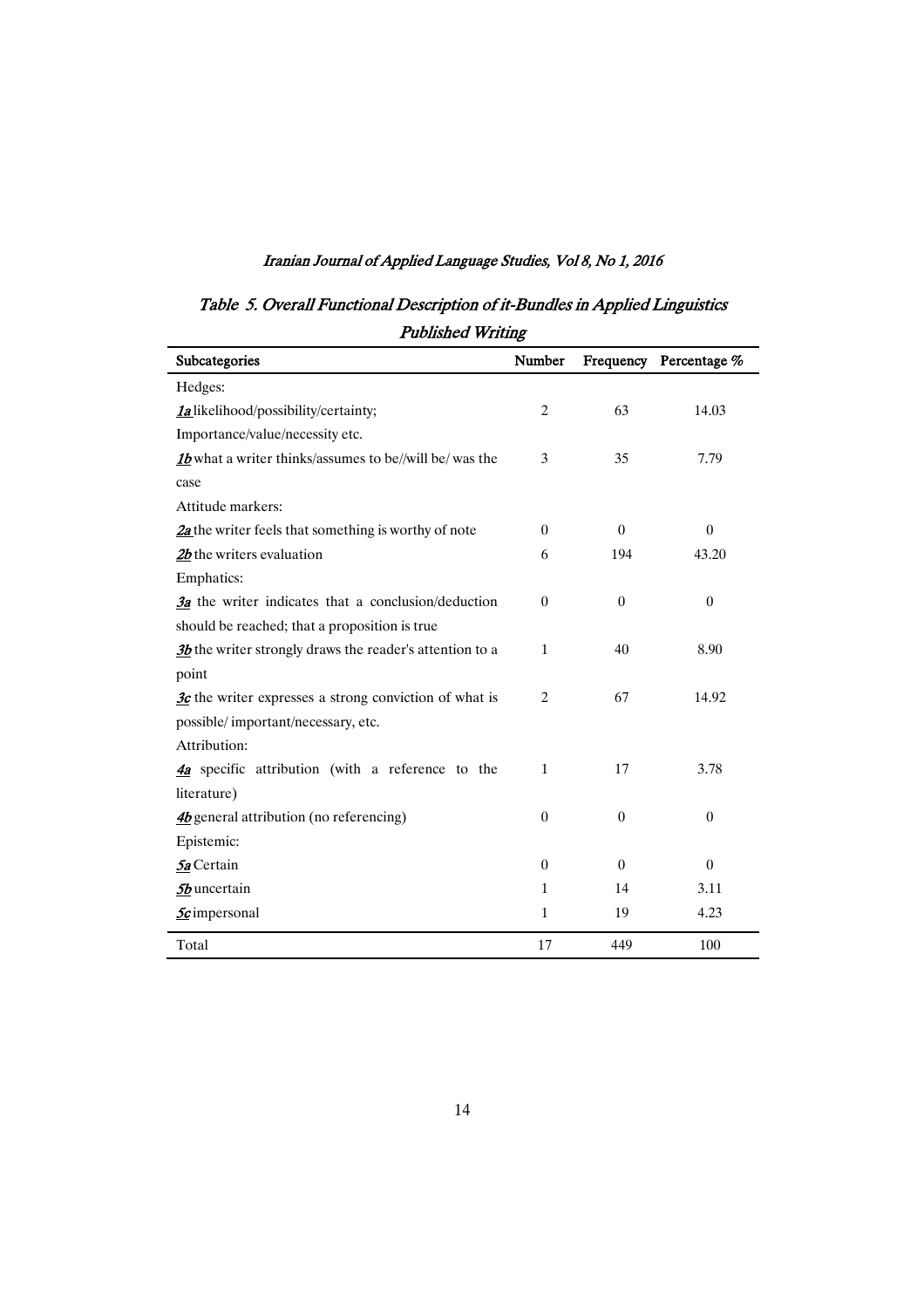Table 5. Overall Functional Description of it-Bundles in Applied Linguistics Published Writing

| Subcategories                                                       | Number         |                  | Frequency Percentage % |
|---------------------------------------------------------------------|----------------|------------------|------------------------|
| Hedges:                                                             |                |                  |                        |
| <b>la</b> likelihood/possibility/certainty;                         | $\overline{c}$ | 63               | 14.03                  |
| Importance/value/necessity etc.                                     |                |                  |                        |
| 1 <i>b</i> what a writer thinks/assumes to be//will be/ was the     | 3              | 35               | 7.79                   |
| case                                                                |                |                  |                        |
| Attitude markers:                                                   |                |                  |                        |
| $2a$ the writer feels that something is worthy of note              | $\Omega$       | $\theta$         | $\overline{0}$         |
| $2b$ the writers evaluation                                         | 6              | 194              | 43.20                  |
| Emphatics:                                                          |                |                  |                        |
| $\frac{3a}{3}$ the writer indicates that a conclusion/deduction     | $\theta$       | $\boldsymbol{0}$ | $\boldsymbol{0}$       |
| should be reached; that a proposition is true                       |                |                  |                        |
| 3b the writer strongly draws the reader's attention to a            | $\mathbf{1}$   | 40               | 8.90                   |
| point                                                               |                |                  |                        |
| $\frac{3c}{3c}$ the writer expresses a strong conviction of what is | 2              | 67               | 14.92                  |
| possible/important/necessary, etc.                                  |                |                  |                        |
| Attribution:                                                        |                |                  |                        |
| 4a specific attribution (with a reference to the                    | $\mathbf{1}$   | 17               | 3.78                   |
| literature)                                                         |                |                  |                        |
| $\frac{4b}{2}$ general attribution (no referencing)                 | $\overline{0}$ | $\overline{0}$   | $\overline{0}$         |
| Epistemic:                                                          |                |                  |                        |
| 5a Certain                                                          | $\theta$       | $\theta$         | $\boldsymbol{0}$       |
| 5b uncertain                                                        | $\mathbf{1}$   | 14               | 3.11                   |
| <b>5</b> c impersonal                                               | $\mathbf{1}$   | 19               | 4.23                   |
| Total                                                               | 17             | 449              | 100                    |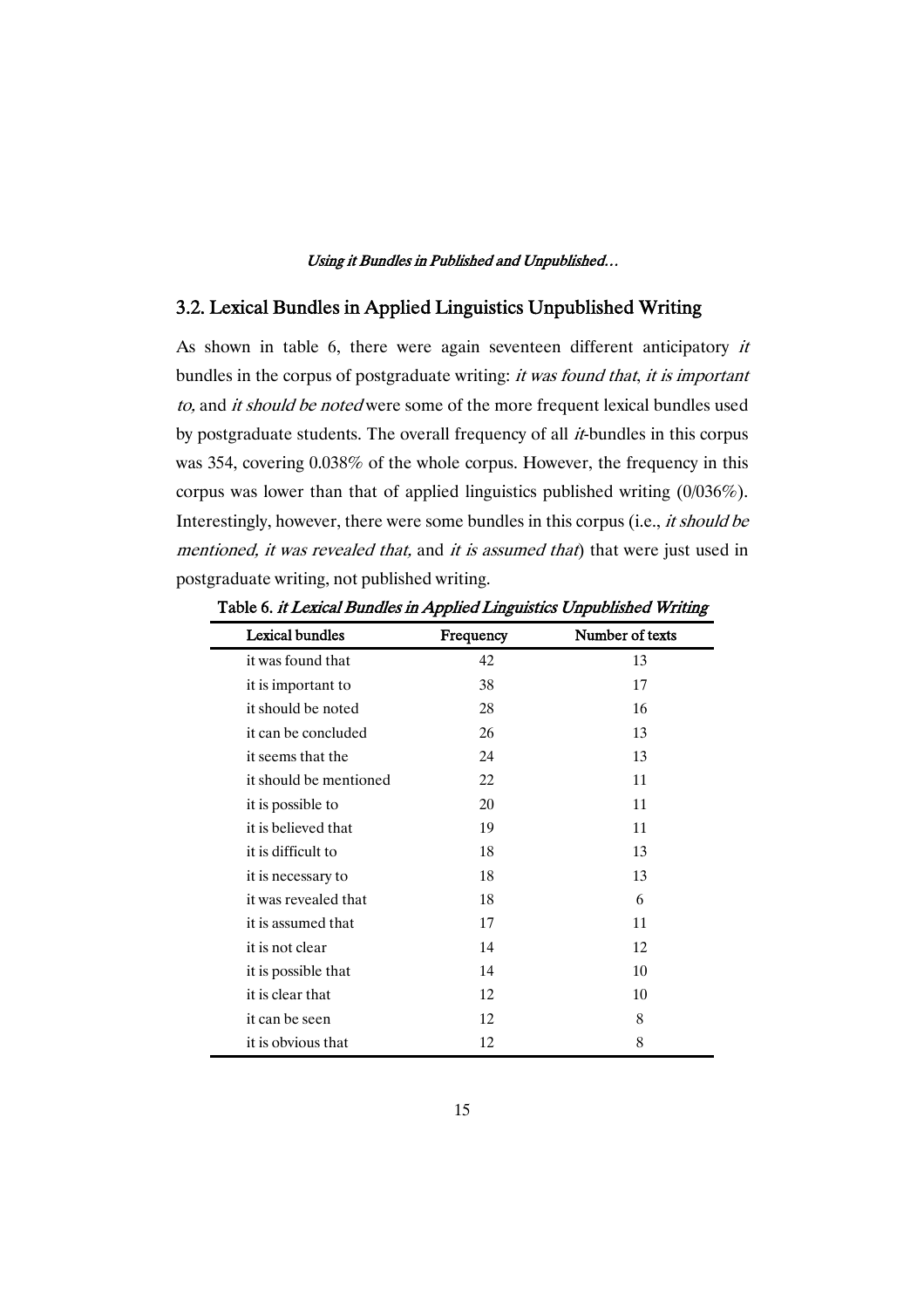## 3.2. Lexical Bundles in Applied Linguistics Unpublished Writing

As shown in table 6, there were again seventeen different anticipatory it bundles in the corpus of postgraduate writing: it was found that, it is important to, and it should be noted were some of the more frequent lexical bundles used by postgraduate students. The overall frequency of all it-bundles in this corpus was 354, covering 0.038% of the whole corpus. However, the frequency in this corpus was lower than that of applied linguistics published writing (0/036%). Interestingly, however, there were some bundles in this corpus (i.e., it should be mentioned, it was revealed that, and it is assumed that) that were just used in postgraduate writing, not published writing.

| <b>Lexical bundles</b> | Frequency | Number of texts |
|------------------------|-----------|-----------------|
| it was found that      | 42        | 13              |
| it is important to     | 38        | 17              |
| it should be noted     | 28        | 16              |
| it can be concluded    | 26        | 13              |
| it seems that the      | 24        | 13              |
| it should be mentioned | 22        | 11              |
| it is possible to      | 20        | 11              |
| it is believed that    | 19        | 11              |
| it is difficult to     | 18        | 13              |
| it is necessary to     | 18        | 13              |
| it was revealed that   | 18        | 6               |
| it is assumed that     | 17        | 11              |
| it is not clear        | 14        | 12              |
| it is possible that    | 14        | 10              |
| it is clear that       | 12        | 10              |
| it can be seen         | 12        | 8               |
| it is obvious that     | 12        | 8               |

Table 6. it Lexical Bundles in Applied Linguistics Unpublished Writing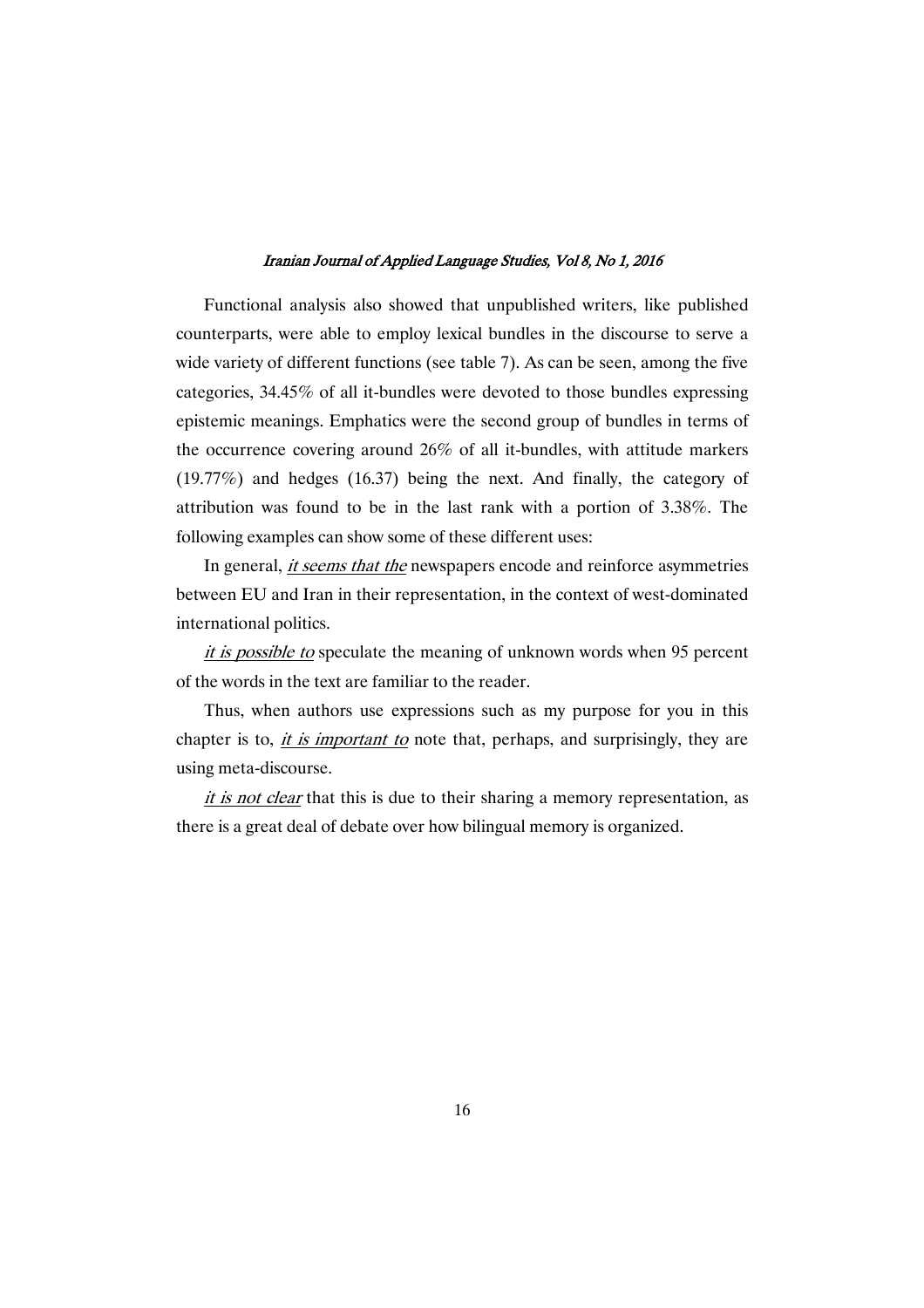Functional analysis also showed that unpublished writers, like published counterparts, were able to employ lexical bundles in the discourse to serve a wide variety of different functions (see table 7). As can be seen, among the five categories, 34.45% of all it-bundles were devoted to those bundles expressing epistemic meanings. Emphatics were the second group of bundles in terms of the occurrence covering around 26% of all it-bundles, with attitude markers (19.77%) and hedges (16.37) being the next. And finally, the category of attribution was found to be in the last rank with a portion of 3.38%. The following examples can show some of these different uses:

In general, *it seems that the* newspapers encode and reinforce asymmetries between EU and Iran in their representation, in the context of west-dominated international politics.

it is possible to speculate the meaning of unknown words when 95 percent of the words in the text are familiar to the reader.

Thus, when authors use expressions such as my purpose for you in this chapter is to, *it is important to* note that, perhaps, and surprisingly, they are using meta-discourse.

it is not clear that this is due to their sharing a memory representation, as there is a great deal of debate over how bilingual memory is organized.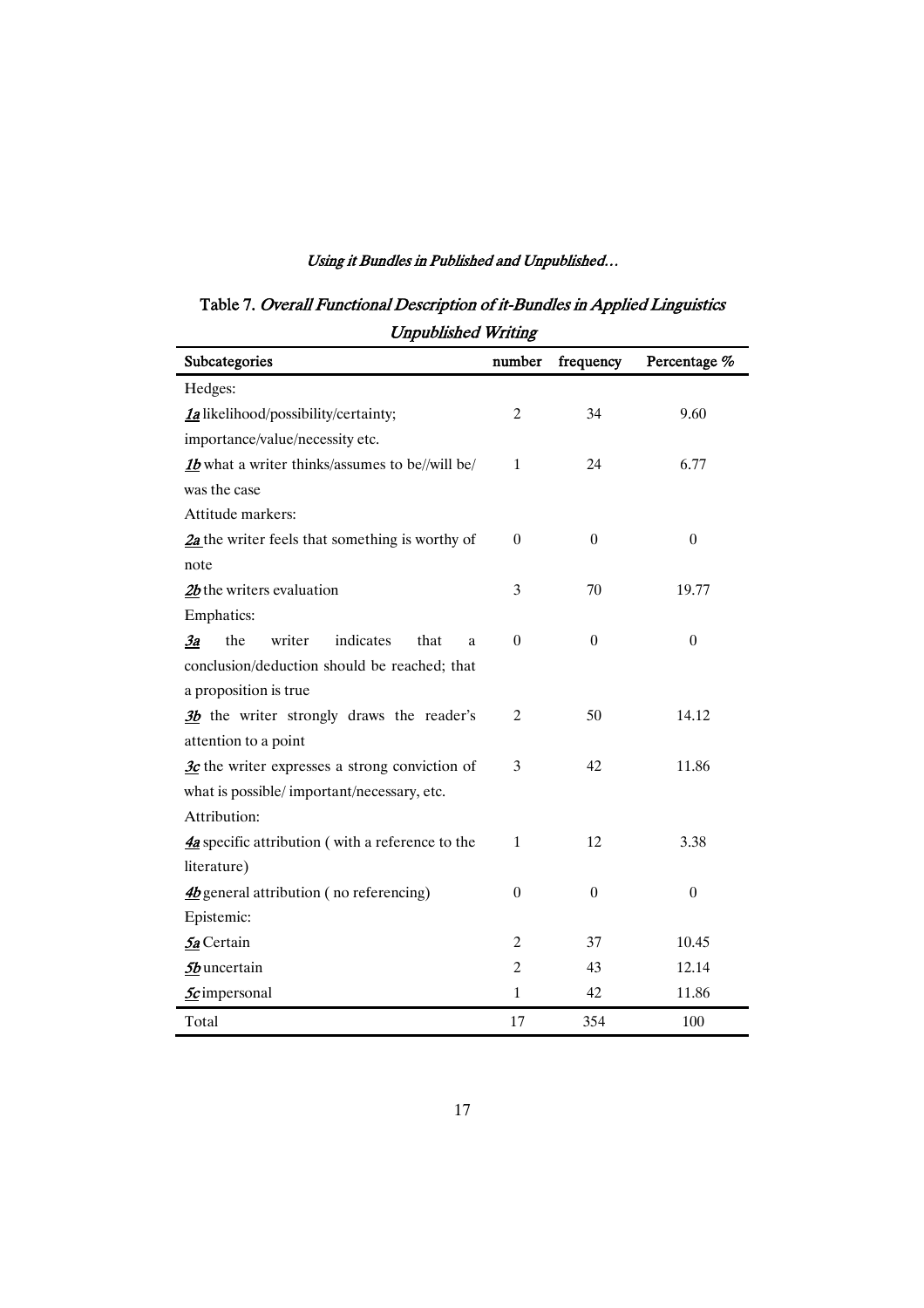Table 7. Overall Functional Description of it-Bundles in Applied Linguistics Unpublished Writing

| Subcategories                                             | number           | frequency        | Percentage %     |
|-----------------------------------------------------------|------------------|------------------|------------------|
| Hedges:                                                   |                  |                  |                  |
| 1a likelihood/possibility/certainty;                      | $\overline{2}$   | 34               | 9.60             |
| importance/value/necessity etc.                           |                  |                  |                  |
| 1b what a writer thinks/assumes to be//will be/           | $\mathbf{1}$     | 24               | 6.77             |
| was the case                                              |                  |                  |                  |
| Attitude markers:                                         |                  |                  |                  |
| $2a$ the writer feels that something is worthy of         | $\overline{0}$   | $\boldsymbol{0}$ | $\boldsymbol{0}$ |
| note                                                      |                  |                  |                  |
| $2b$ the writers evaluation                               | 3                | 70               | 19.77            |
| <b>Emphatics:</b>                                         |                  |                  |                  |
| writer<br>indicates<br>the<br>$\frac{3a}{2}$<br>that<br>a | $\overline{0}$   | $\boldsymbol{0}$ | $\boldsymbol{0}$ |
| conclusion/deduction should be reached; that              |                  |                  |                  |
| a proposition is true                                     |                  |                  |                  |
| 3b the writer strongly draws the reader's                 | $\mathfrak{2}$   | 50               | 14.12            |
| attention to a point                                      |                  |                  |                  |
| $3c$ the writer expresses a strong conviction of          | 3                | 42               | 11.86            |
| what is possible/important/necessary, etc.                |                  |                  |                  |
| Attribution:                                              |                  |                  |                  |
| 4a specific attribution (with a reference to the          | $\mathbf{1}$     | 12               | 3.38             |
| literature)                                               |                  |                  |                  |
| 4b general attribution (no referencing)                   | $\boldsymbol{0}$ | $\boldsymbol{0}$ | $\boldsymbol{0}$ |
| Epistemic:                                                |                  |                  |                  |
| 5a Certain                                                | $\overline{2}$   | 37               | 10.45            |
| 5b uncertain                                              | $\overline{c}$   | 43               | 12.14            |
| <b>5c</b> impersonal                                      | $\mathbf{1}$     | 42               | 11.86            |
| Total                                                     | 17               | 354              | 100              |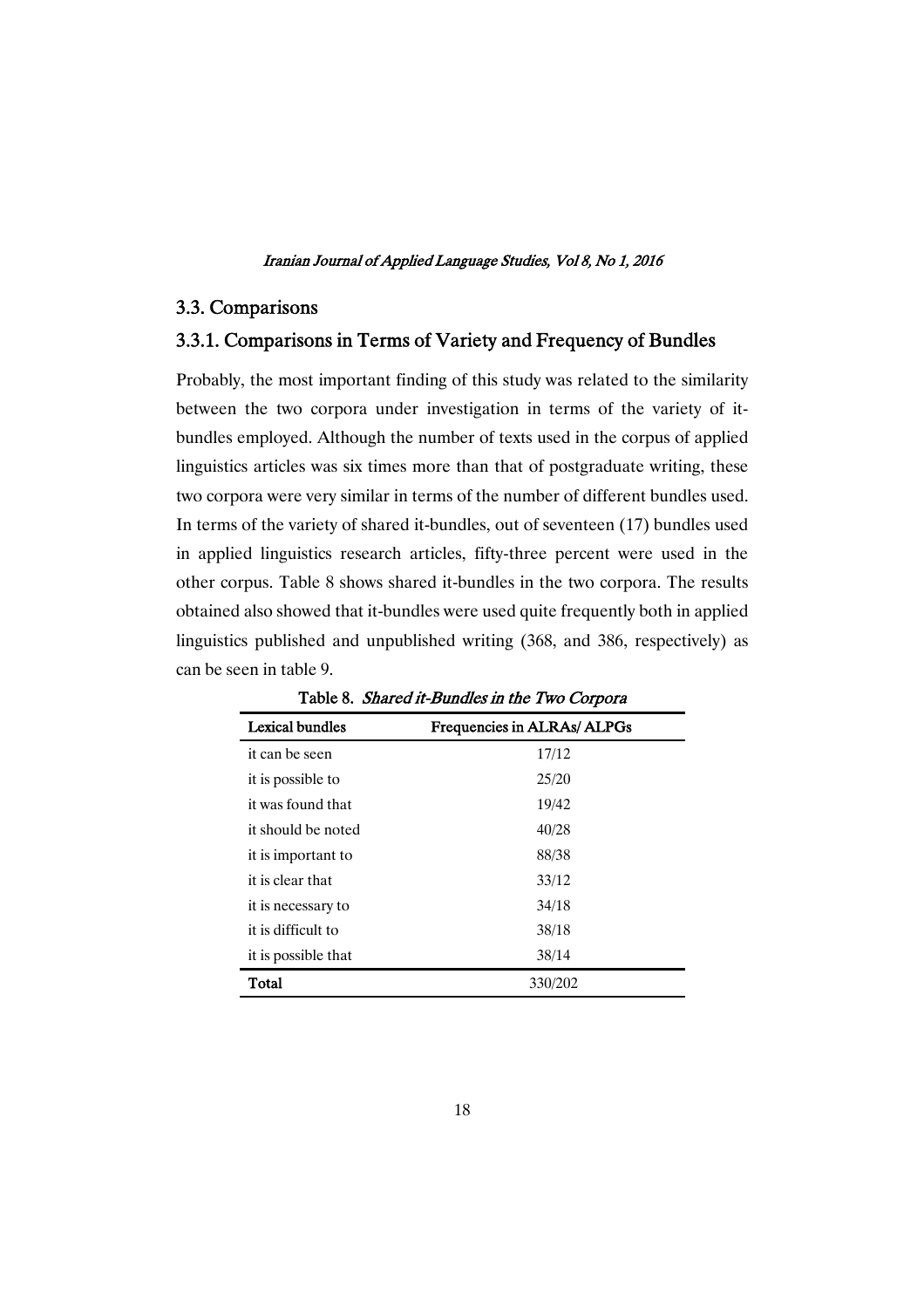## 3.3.Comparisons

## 3.3.1. Comparisons in Terms of Variety and Frequency of Bundles

Probably, the most important finding of this study was related to the similarity between the two corpora under investigation in terms of the variety of itbundles employed. Although the number of texts used in the corpus of applied linguistics articles was six times more than that of postgraduate writing, these two corpora were very similar in terms of the number of different bundles used. In terms of the variety of shared it-bundles, out of seventeen (17) bundles used in applied linguistics research articles, fifty-three percent were used in the other corpus. Table 8 shows shared it-bundles in the two corpora. The results obtained also showed that it-bundles were used quite frequently both in applied linguistics published and unpublished writing (368, and 386, respectively) as can be seen in table 9.

| <b>Lexical bundles</b> | Frequencies in ALRAs/ ALPGs |
|------------------------|-----------------------------|
| it can be seen         | 17/12                       |
| it is possible to      | 25/20                       |
| it was found that      | 19/42                       |
| it should be noted     | 40/28                       |
| it is important to     | 88/38                       |
| it is clear that       | 33/12                       |
| it is necessary to     | 34/18                       |
| it is difficult to     | 38/18                       |
| it is possible that    | 38/14                       |
| Total                  | 330/202                     |

Table 8. Shared it-Bundles in the Two Corpora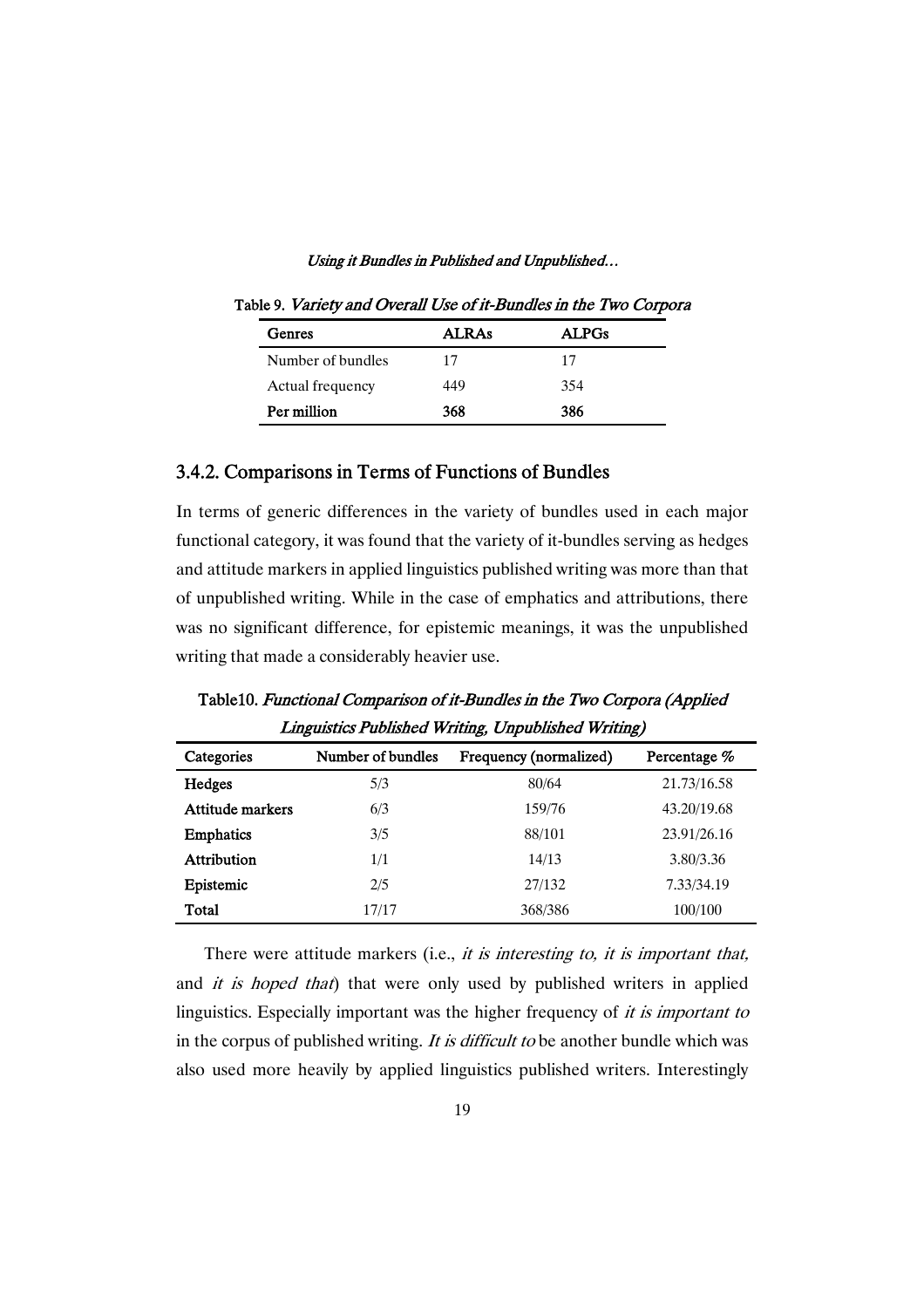| Genres            | <b>ALRAs</b> | <b>ALPGs</b> |
|-------------------|--------------|--------------|
| Number of bundles | 17           | 17           |
| Actual frequency  | 449          | 354          |
| Per million       | 368          | 386          |

Table 9. Variety and Overall Use of it-Bundles in the Two Corpora

## 3.4.2. Comparisons in Terms of Functions of Bundles

In terms of generic differences in the variety of bundles used in each major functional category, it was found that the variety of it-bundles serving as hedges and attitude markers in applied linguistics published writing was more than that of unpublished writing. While in the case of emphatics and attributions, there was no significant difference, for epistemic meanings, it was the unpublished writing that made a considerably heavier use.

| Categories         | Number of bundles | Frequency (normalized) | Percentage % |
|--------------------|-------------------|------------------------|--------------|
| Hedges             | 5/3               | 80/64                  | 21.73/16.58  |
| Attitude markers   | 6/3               | 159/76                 | 43.20/19.68  |
| <b>Emphatics</b>   | 3/5               | 88/101                 | 23.91/26.16  |
| <b>Attribution</b> | 1/1               | 14/13                  | 3.80/3.36    |
| Epistemic          | 2/5               | 27/132                 | 7.33/34.19   |
| Total              | 17/17             | 368/386                | 100/100      |

Table10. Functional Comparison of it-Bundles in the Two Corpora (Applied Linguistics Published Writing, Unpublished Writing)

There were attitude markers (i.e., *it is interesting to, it is important that,* and *it is hoped that*) that were only used by published writers in applied linguistics. Especially important was the higher frequency of it is important to in the corpus of published writing. It is difficult to be another bundle which was also used more heavily by applied linguistics published writers. Interestingly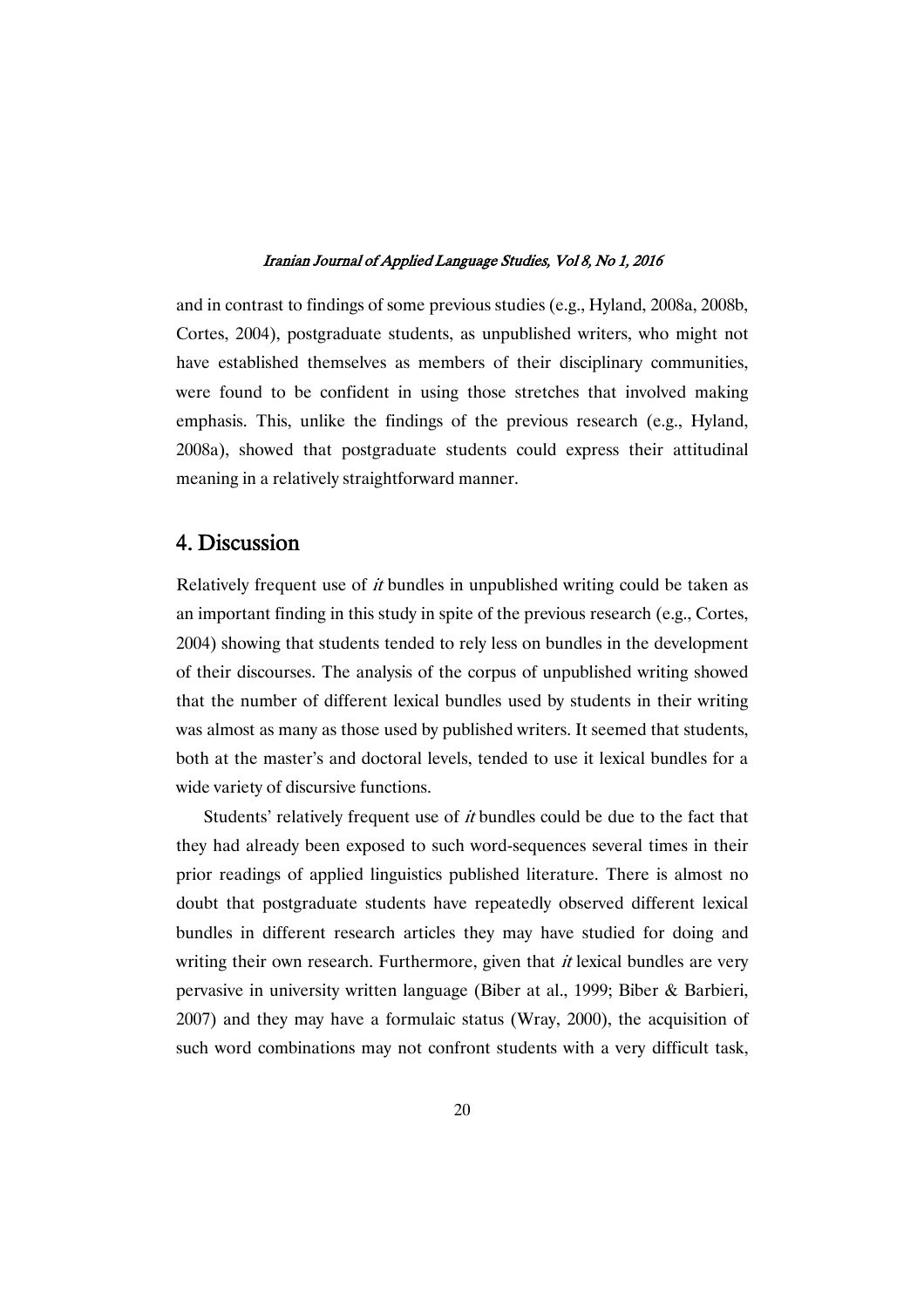and in contrast to findings of some previous studies (e.g., Hyland, 2008a, 2008b, Cortes, 2004), postgraduate students, as unpublished writers, who might not have established themselves as members of their disciplinary communities, were found to be confident in using those stretches that involved making emphasis. This, unlike the findings of the previous research (e.g., Hyland, 2008a), showed that postgraduate students could express their attitudinal meaning in a relatively straightforward manner.

## 4.Discussion

Relatively frequent use of *it* bundles in unpublished writing could be taken as an important finding in this study in spite of the previous research (e.g., Cortes, 2004) showing that students tended to rely less on bundles in the development of their discourses. The analysis of the corpus of unpublished writing showed that the number of different lexical bundles used by students in their writing was almost as many as those used by published writers. It seemed that students, both at the master's and doctoral levels, tended to use it lexical bundles for a wide variety of discursive functions.

Students' relatively frequent use of *it* bundles could be due to the fact that they had already been exposed to such word-sequences several times in their prior readings of applied linguistics published literature. There is almost no doubt that postgraduate students have repeatedly observed different lexical bundles in different research articles they may have studied for doing and writing their own research. Furthermore, given that  $it$  lexical bundles are very pervasive in university written language (Biber at al., 1999; Biber & Barbieri, 2007) and they may have a formulaic status (Wray, 2000), the acquisition of such word combinations may not confront students with a very difficult task,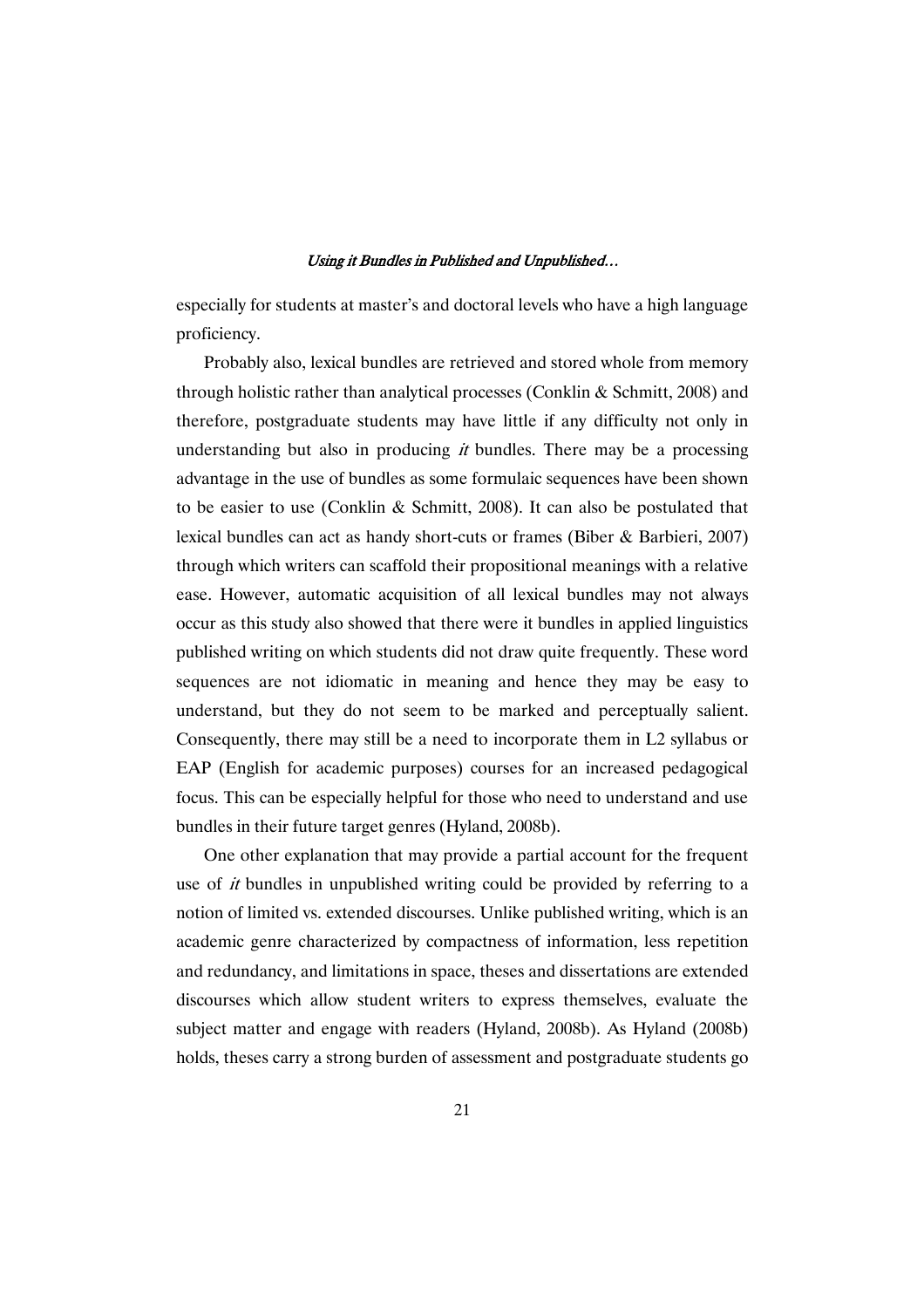especially for students at master's and doctoral levels who have a high language proficiency.

Probably also, lexical bundles are retrieved and stored whole from memory through holistic rather than analytical processes (Conklin & Schmitt, 2008) and therefore, postgraduate students may have little if any difficulty not only in understanding but also in producing  $it$  bundles. There may be a processing advantage in the use of bundles as some formulaic sequences have been shown to be easier to use (Conklin & Schmitt, 2008). It can also be postulated that lexical bundles can act as handy short-cuts or frames (Biber & Barbieri, 2007) through which writers can scaffold their propositional meanings with a relative ease. However, automatic acquisition of all lexical bundles may not always occur as this study also showed that there were it bundles in applied linguistics published writing on which students did not draw quite frequently. These word sequences are not idiomatic in meaning and hence they may be easy to understand, but they do not seem to be marked and perceptually salient. Consequently, there may still be a need to incorporate them in L2 syllabus or EAP (English for academic purposes) courses for an increased pedagogical focus. This can be especially helpful for those who need to understand and use bundles in their future target genres (Hyland, 2008b).

One other explanation that may provide a partial account for the frequent use of *it* bundles in unpublished writing could be provided by referring to a notion of limited vs. extended discourses. Unlike published writing, which is an academic genre characterized by compactness of information, less repetition and redundancy, and limitations in space, theses and dissertations are extended discourses which allow student writers to express themselves, evaluate the subject matter and engage with readers (Hyland, 2008b). As Hyland (2008b) holds, theses carry a strong burden of assessment and postgraduate students go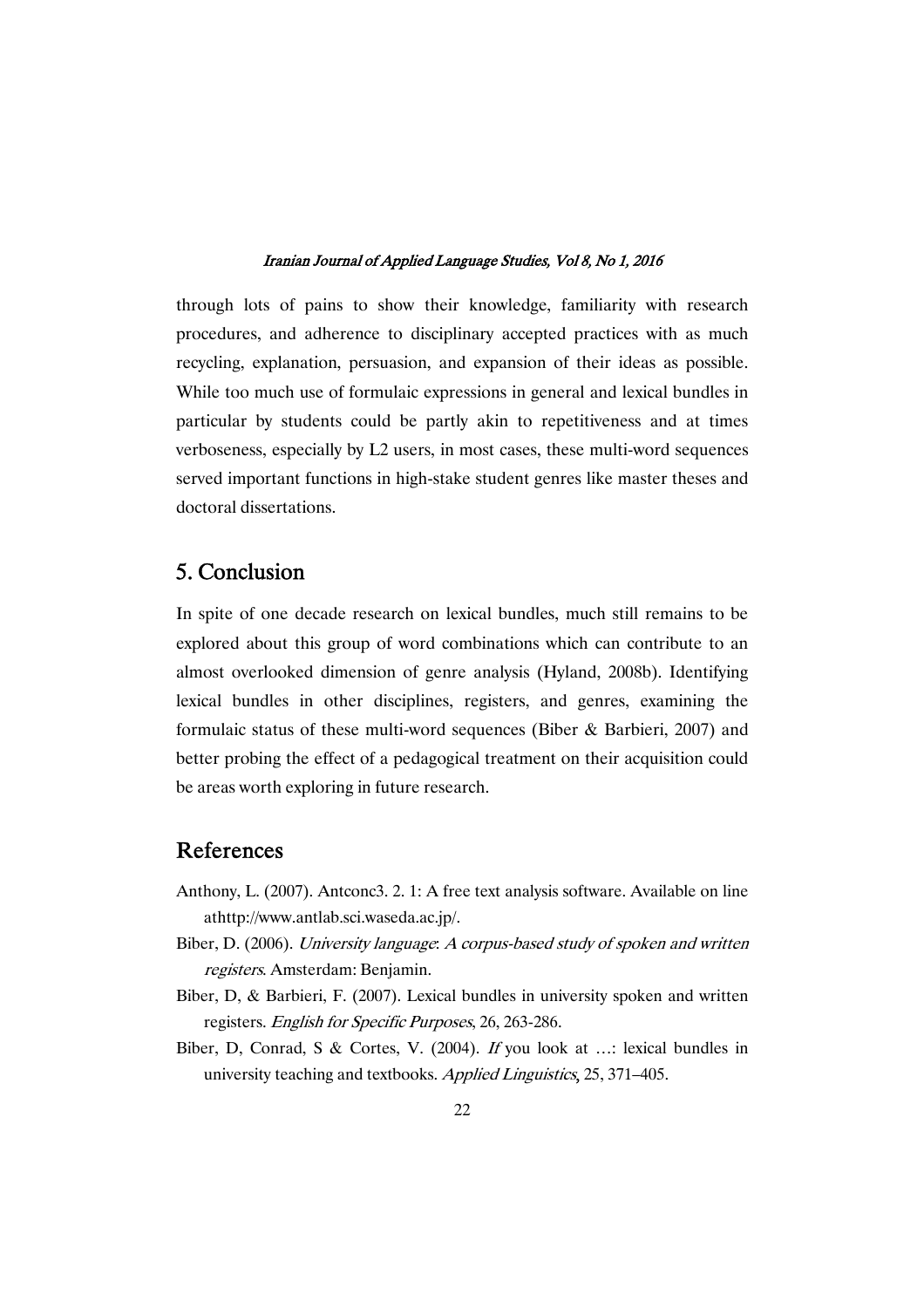through lots of pains to show their knowledge, familiarity with research procedures, and adherence to disciplinary accepted practices with as much recycling, explanation, persuasion, and expansion of their ideas as possible. While too much use of formulaic expressions in general and lexical bundles in particular by students could be partly akin to repetitiveness and at times verboseness, especially by L2 users, in most cases, these multi-word sequences served important functions in high-stake student genres like master theses and doctoral dissertations.

# 5.Conclusion

In spite of one decade research on lexical bundles, much still remains to be explored about this group of word combinations which can contribute to an almost overlooked dimension of genre analysis (Hyland, 2008b). Identifying lexical bundles in other disciplines, registers, and genres, examining the formulaic status of these multi-word sequences (Biber & Barbieri, 2007) and better probing the effect of a pedagogical treatment on their acquisition could be areas worth exploring in future research.

## References

- Anthony, L. (2007). Antconc3. 2. 1: A free text analysis software. Available on line athttp://www.antlab.sci.waseda.ac.jp/.
- Biber, D. (2006). University language: <sup>A</sup> corpus-based study of spoken and written registers. Amsterdam: Benjamin.
- Biber, D, & Barbieri, F. (2007). Lexical bundles in university spoken and written registers. English for Specific Purposes, 26, 263-286.
- Biber, D, Conrad, S & Cortes, V. (2004). If you look at …: lexical bundles in university teaching and textbooks. Applied Linguistics, 25, 371–405.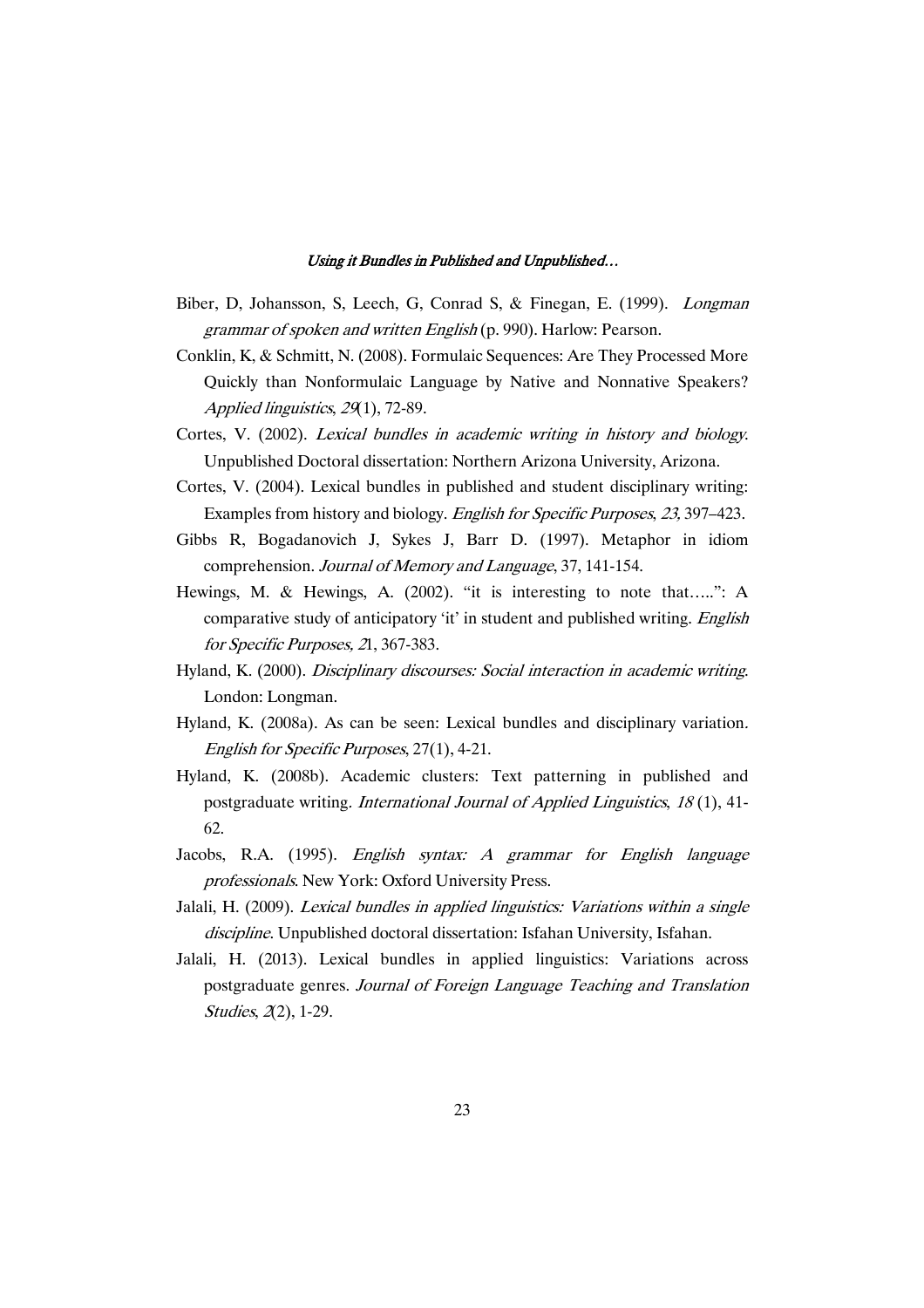- Biber, D, Johansson, S, Leech, G, Conrad S, & Finegan, E. (1999). Longman grammar of spoken and written English (p. 990). Harlow: Pearson.
- Conklin, K, & Schmitt, N. (2008). Formulaic Sequences: Are They Processed More Quickly than Nonformulaic Language by Native and Nonnative Speakers? Applied linguistics, 29(1), 72-89.
- Cortes, V. (2002). Lexical bundles in academic writing in history and biology. Unpublished Doctoral dissertation: Northern Arizona University, Arizona.
- Cortes, V. (2004). Lexical bundles in published and student disciplinary writing: Examples from history and biology. English for Specific Purposes, 23, 397–423.
- Gibbs R, Bogadanovich J, Sykes J, Barr D. (1997). Metaphor in idiom comprehension. Journal of Memory and Language, 37, 141-154.
- Hewings, M. & Hewings, A. (2002). "it is interesting to note that…..": A comparative study of anticipatory 'it' in student and published writing. English for Specific Purposes, <sup>2</sup>1, 367-383.
- Hyland, K. (2000). Disciplinary discourses: Social interaction in academic writing. London: Longman.
- Hyland, K. (2008a). As can be seen: Lexical bundles and disciplinary variation. English for Specific Purposes, 27(1), 4-21.
- Hyland, K. (2008b). Academic clusters: Text patterning in published and postgraduate writing. International Journal of Applied Linguistics, <sup>18</sup> (1), 41- 62.
- Jacobs, R.A. (1995). English syntax: <sup>A</sup> grammar for English language professionals. New York: Oxford University Press.
- Jalali, H. (2009). Lexical bundles in applied linguistics: Variations within <sup>a</sup> single discipline. Unpublished doctoral dissertation: Isfahan University, Isfahan.
- Jalali, H. (2013). Lexical bundles in applied linguistics: Variations across postgraduate genres. Journal of Foreign Language Teaching and Translation Studies, 2(2), 1-29.